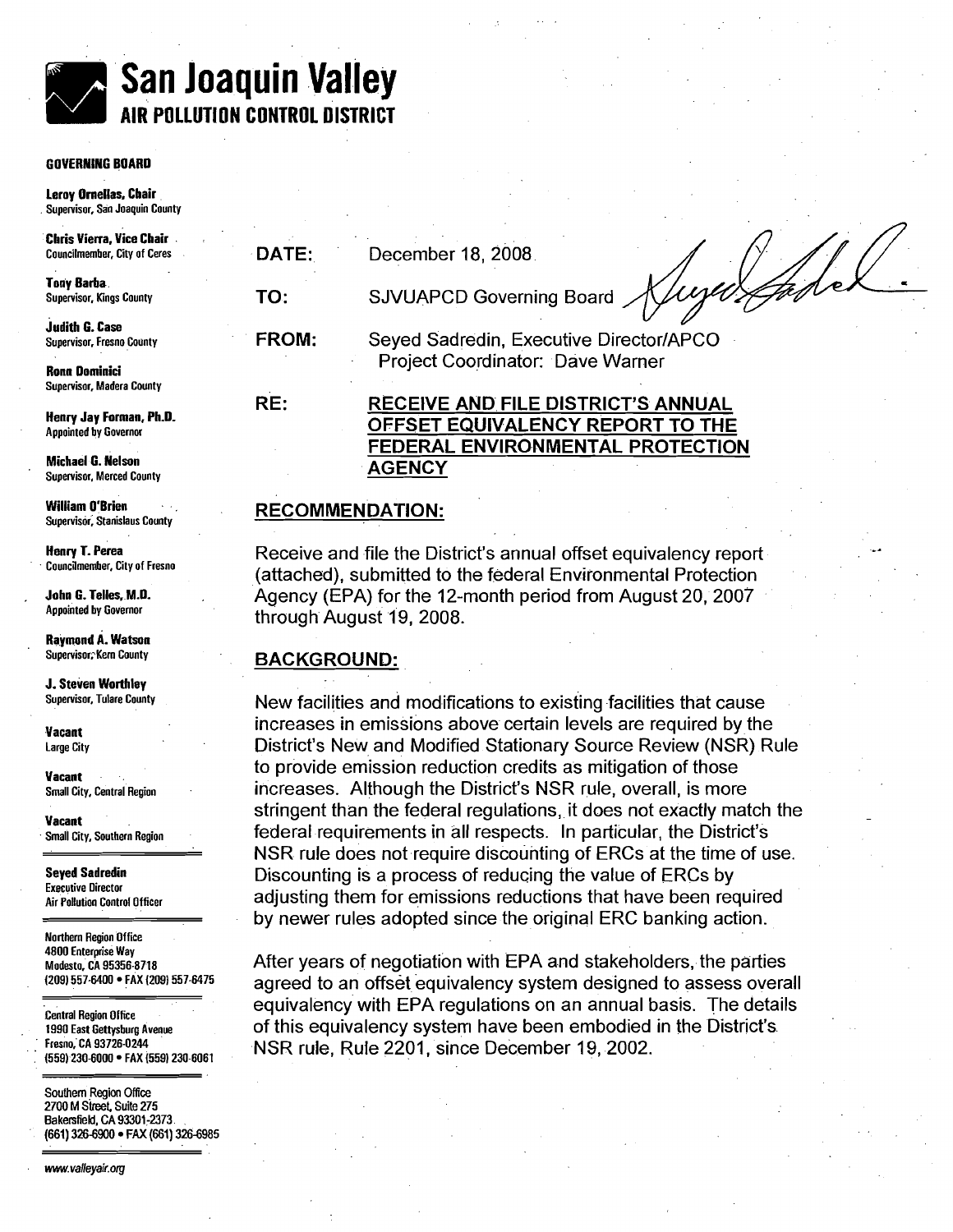# **San Joaquin Valley AIR PDLLUTlOl CONTROL DISTRICT**

#### **GOVERNING BOARD**

**Leroy Omellas, Chair Supervisor, San Joaquin County** 

**Chris Vierra. Vice Chair** 

**Tony Barba** 

**Judith G. Case**<br>Supervisor, Fresno County

**Supervisor, Madera County** 

**Henry Jay Forman, Ph.0. Appointed by Governor** 

**Michael G. Nelson Supervisor, Merced County** 

**William O'Brien Supervisor; Stanislaus County** 

**Henry T. Perea Councilmember, City of Fresno** 

**John 6. Telles. M.D. Appointed by Governor** 

**Rajmond A. Watson Supervis0r:Kem County** 

**J. Steven Worthley Supervisor, Tulare County** 

**Vacant Large City** 

**Vacant** .. **Small City, Central Region** 

**Vacant Small City, Southern Region** 

**Seyed Sadredin Executive Director Air Pollution Control Officer** 

**Northern Region Office 4800 Enterprise Way ~odesto; CA 95356-8718 (209) 557-6400 FAX (209) 557-6475** 

. . **Central Region Office**  . **1990 East Gettysburg Avenue**  . . **Fresno,'CA 93726-0244 (559) 230-moo** . **FAX (5591 230-6061** 

**Southern Region Office 2700 M Skeet Suite 275 Bakersfield, CA 93301-2373. (661) 326-6900 FAX (661) 326-6985**  . .

www.valleyair.org

Receive and file the District's annual offset equivalency report (attached), submitted to the federal Environmental Protection Agency (EPA) for the 12-month period from August 20, 2007 through August 19, 2008.

#### **BACKGROUND:**

New facilities and modifications to existing facilities that cause increases in emissions above certain levels are required by the District's New and Modified Stationary Source Review (NSR) Rule to provide emission reduction credits as mitigation of those increases. Although the District's NSR rule, overall, is more stringent than the federal regulations, it does not exactly match the federal requirements in all respects. In particular, the District's NSR rule does not require discounting of ERCs at the time of use. Discounting is a process of reducing the value of ERCs by adjusting them for emissions reductions that have been required by newer rules adopted since the original ERC banking action.

After years of negotiation with EPA and stakeholders, the parties agreed to an offset equivalency system designed to assess overall equivalency with EPA regulations on an annual basis. The details of this equivalency system have been embodied in the District's NSR rule, Rule 2201, since December 19, 2002.

FROM: Seyed Sadredin, Executive Director/APCO **Ronn Dominici** Project Coordinator: Dave Warner

RECEIVE AND FILE DISTRICT'S ANNUAL

**DATE:** December 18, 2008

# **TO:** SJVUAPCD Governing Board

**RE:** 

# OFFSET EQUIVALENCY REPORT TO THE FEDERAL ENVIRONMENTAL PROTECTION **AGENCY**

## **RECOMMENDATION:**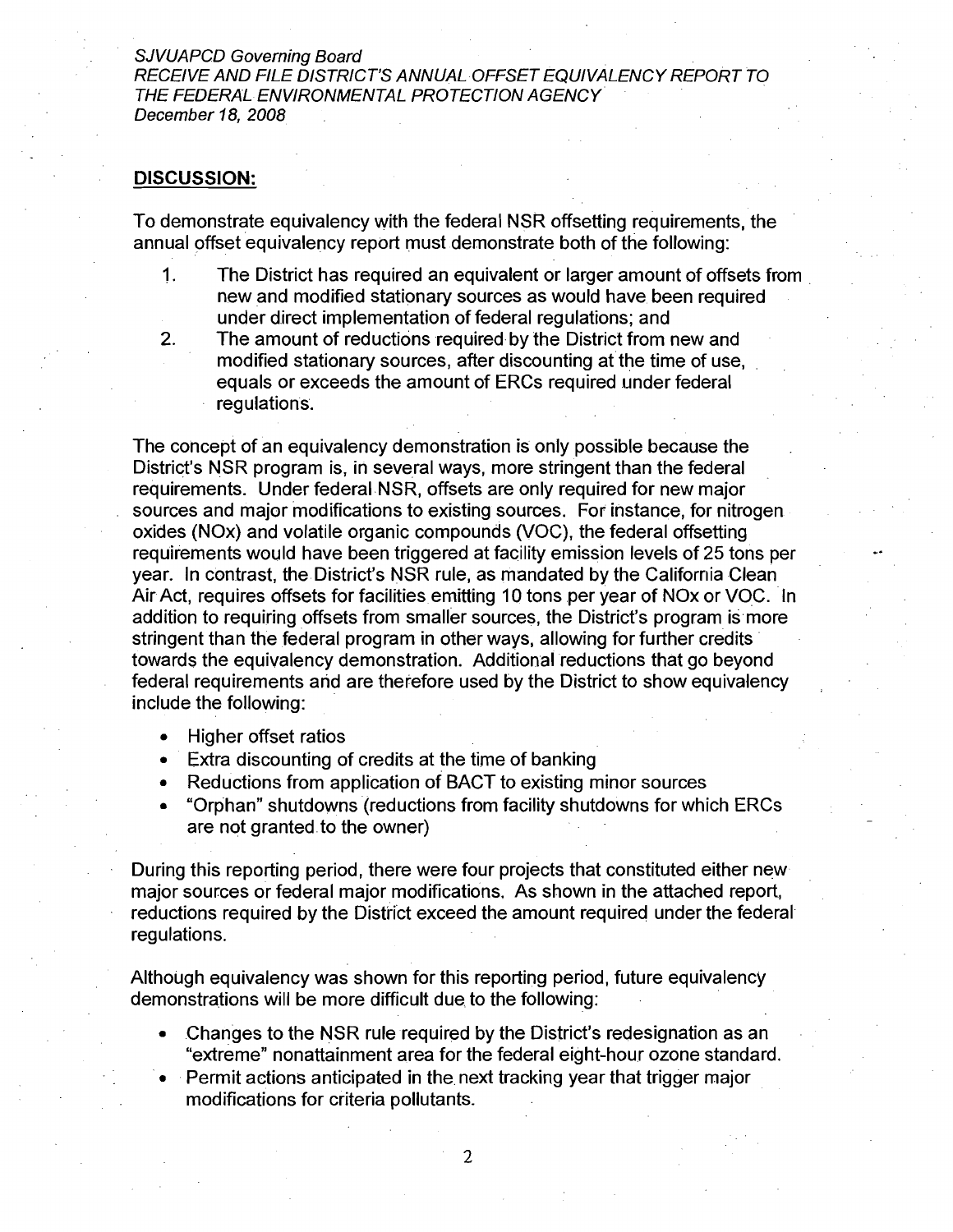SJVUAPCD Governing Board

RECEIVE AND FILE DISTRICT'S ANNUAL OFFSET EQUIVALENCY REPORT TO THE FEDERAL ENVIRONMENTAL PROTECTION AGENCY December 18, 2008

#### **DISCUSSION:**

To demonstrate equivalency with the federal NSR offsetting requirements, the annual offset equivalency report must demonstrate both of the following:

- 1. The District has required an equivalent or larger amount of offsets from new and modified stationary sources as would have been required under direct implementation of federal regulations; and
- 2. The amount of reductions required by the District from new and modified stationary sources, after discounting at the time of use, equals or exceeds the amount of ERCs required under federal regulations.

The concept of an equivalency demonstration is only possible because the District's NSR program is, in several ways, more stringent than the federal requirements. Under federal NSR, offsets are only required for new major sources and major modifications to existing sources. For instance, for nitrogen oxides (NOx) and volatile organic compounds (VOC), the federal offsetting requirements would have been triggered at facility emission levels of 25 tons per year. In contrast, the District's NSR rule, as mandated by the California Clean Air Act, requires offsets for facilities emitting 10 tons per year of NOx or VOC. In addition to requiring offsets from smaller sources, the District's program is more stringent than the federal program in other ways, allowing for further credits towards the equivalency demonstration. Additional reductions that go beyond federal requirements and are therefore used by the District to show equivalency include the following:

Higher offset ratios  $\bullet$ 

. .

- Extra discounting of credits at the time of banking
- Reductions from application of BACT to existing minor sources
- "Orphan" shutdowns (reductions from facility shutdowns for which ERCs are not granted.to the owner)

During this reporting period, there were four projects that constituted either new major sources or federal major modifications, As shown in the attached report, reductions required by the District exceed the amount required under the federal regulations.

Although equivalency was shown for this reporting period, future equivalency demonstrations will be more difficult due to the following:

- Changes to the NSR rule required by the District's redesignation as an "extreme" nonattainment area for the federal eight-hour ozone standard.
- Permit actions anticipated in the next tracking year that trigger major modifications for criteria pollutants.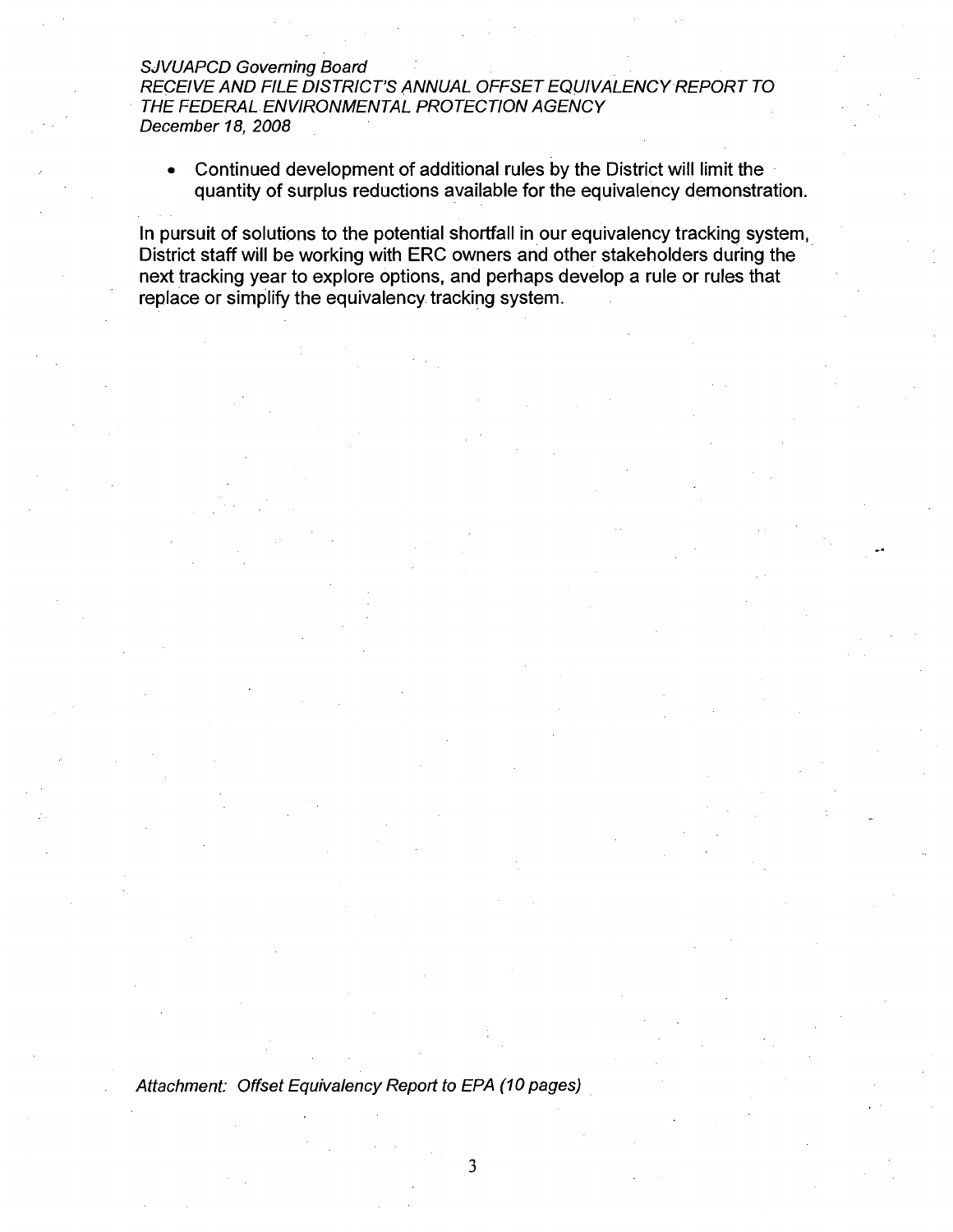#### SJVUAPCD Governing Board

RECEIVE AND FILE DISTRICT'S ANNUAL OFFSET EQUIVALENCY-REPORT TO THE FEDERAL. ENVIRONMENTAL PROTECTION AGENCY December 18, 2008

Continued development of additional rules by the District will limit the quantity of surplus reductions available for the equivalency demonstration.

In pursuit of solutions to the potential shortfall in our equivalency tracking system, District staff will be working with ERC owners and other stakeholders during the next tracking year to explore options, and perhaps develop a rule or rules that replace or simplify the equivalency tracking system.

Attachment: Offset Equivalency Report to EPA (10 pages)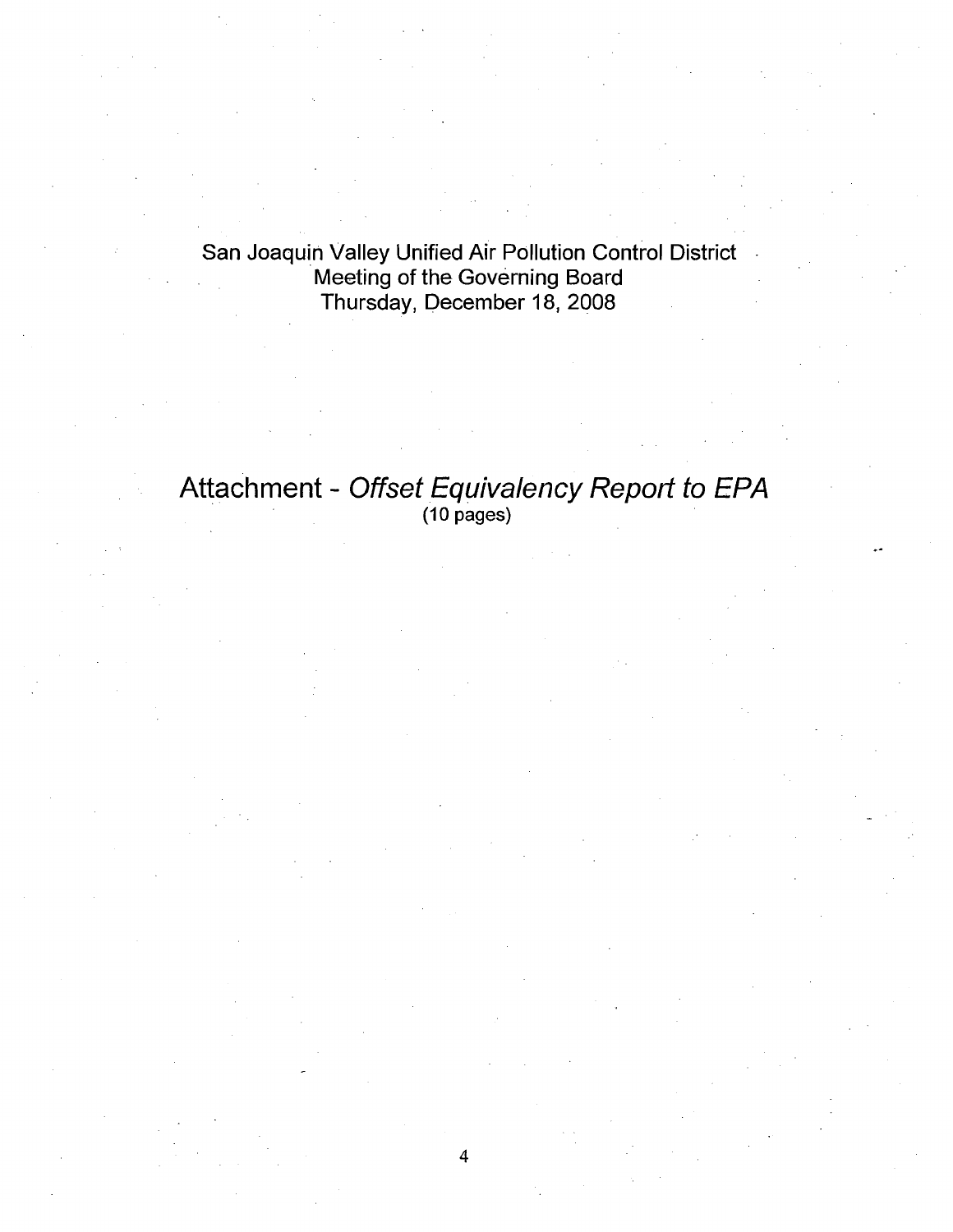San Joaquin Valley Unified Air Pollution Control District Meeting of the Governing Board Thursday, December 18, 2008

# Attachment - Offset Equivalency Report to EPA<br>(10 pages)

 $\overline{4}$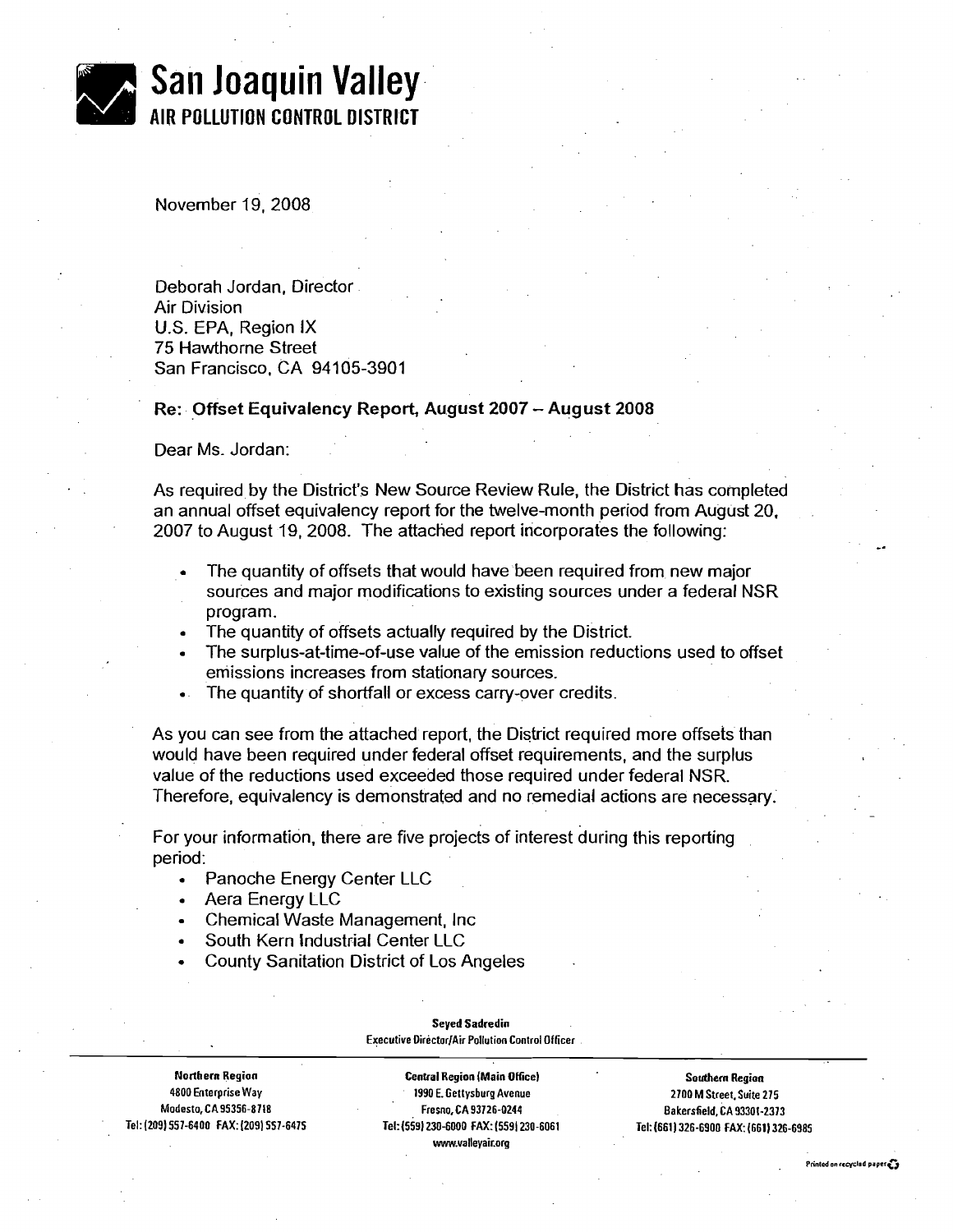| San Joaquin Valley                         |
|--------------------------------------------|
| <b>NOTE</b> AIR POLLUTION CONTROL DISTRICT |

November 19,2008

Deborah Jordan, Director Air Division U.S. EPA, Region IX 75 Hawthorne Street San Francisco, CA 94105-3901

#### Re: Offset Equivalency Report, August **2007** - August **<sup>2008</sup>**

Dear Ms. Jordan:

As required by the District's New Source Review Rule, the District has completed an annual offset equivalency report for the twelve-month period from August 20, 2007 to August 19, 2008. The attached report incorporates the following:

- The quantity of offsets that would have been required from new major sources and major modifications to existing sources under a federal NSR program.
- The quantity of offsets actually required by the District.
- The surplus-at-time-of-use value of the emission reductions used to offset emissions increases from stationary sources.
- The quantity of shortfall or excess carry-over credits.

As you can see from the attached report, the District required more offsets than would have been required under federal offset requirements, and the surplus value of the reductions used exceeded those required under federal NSR. Therefore, equivalency is demonstrated and no remedial actions are necessary.

For your information, there are five projects of interest during this reporting period:

- Panoche Energy Center LLC
- Aera Energy LLC
- Chemical Waste Management, Inc
- South Kern Industrial Center LLC
- County Sanitation District of Los Angeles

#### **Seyed Sadredin Executive DirectorjAir Pollution Control Officer**

**Northern Region Central Region (Main Ofice) Southern Region 4800 Enterprise Way 1990 E. Gettysburg Avenue 2700 M Street. Suite 275 Tel: (209) 557-6400 FAX:(209) 557-6475 ~el:(559) 230-6000 FAX: (5591 230-6061 Tel:(661)326-6900 FAX: (6611 326-6985 www.valleyair.org** 

**Fresno, CA 93726-0244 Bakersfield, CA 93301-2373** 

-.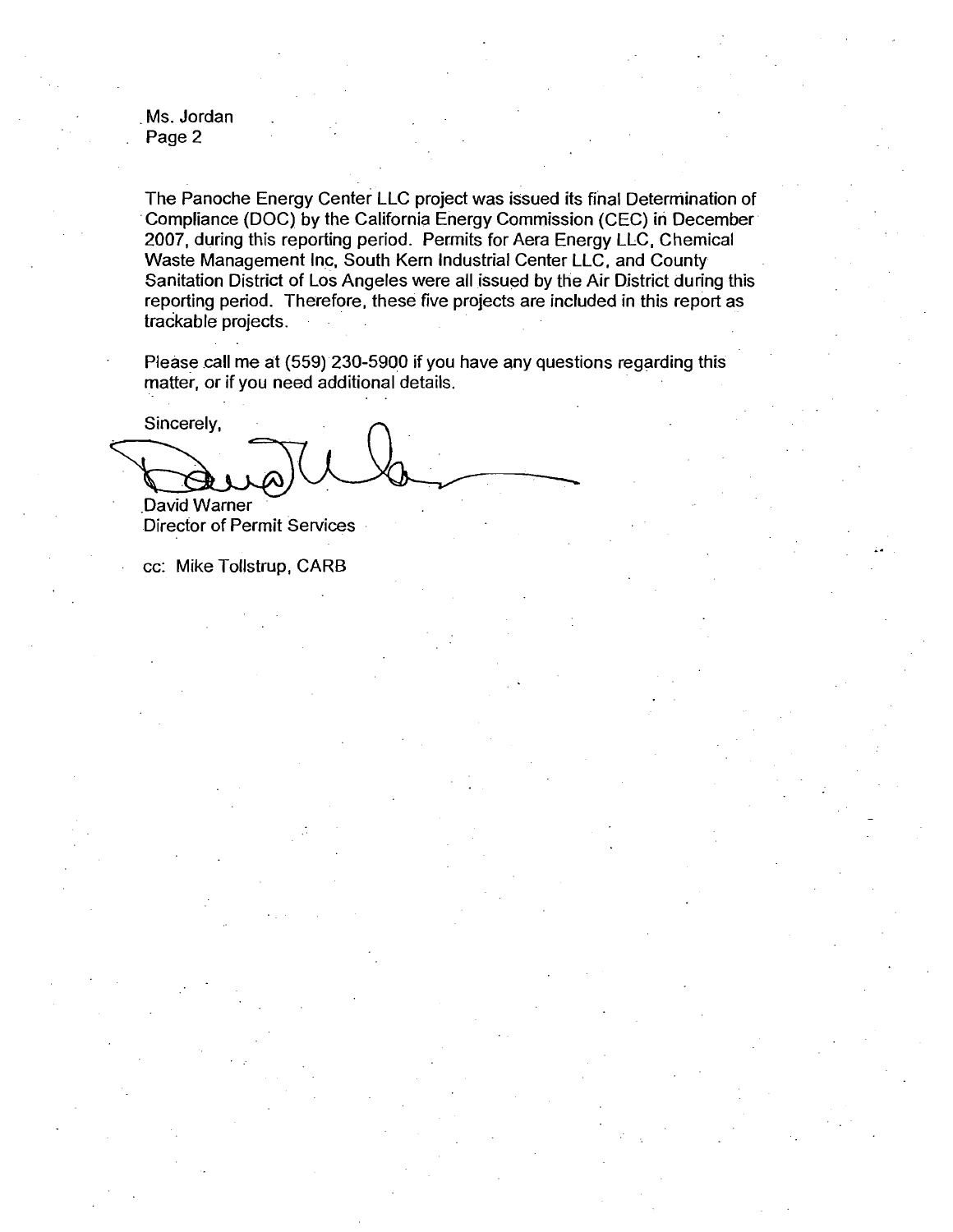Ms. Jordan Page 2

The Panoche Energy Center LLC project was issued its final Determination of Compliance (DOC) by the California Energy Commission (CEC) in December 2007, during this reporting period. Permits for Aera Energy LLC, Chemical Waste Management Inc, South Kern Industrial Center LLC, and County Sanitation District of Los Angeles were all issued by the Air District during this reporting period. Therefore, these five projects are included in this report as trackable projects.

Please call me at (559) 230-5900 if you have any questions regarding this matter, or if you need additional details.

 $\frac{1}{2}$ Sincerely, .David Warner

Director of Permit Services

cc: Mike Tollstrup, CARB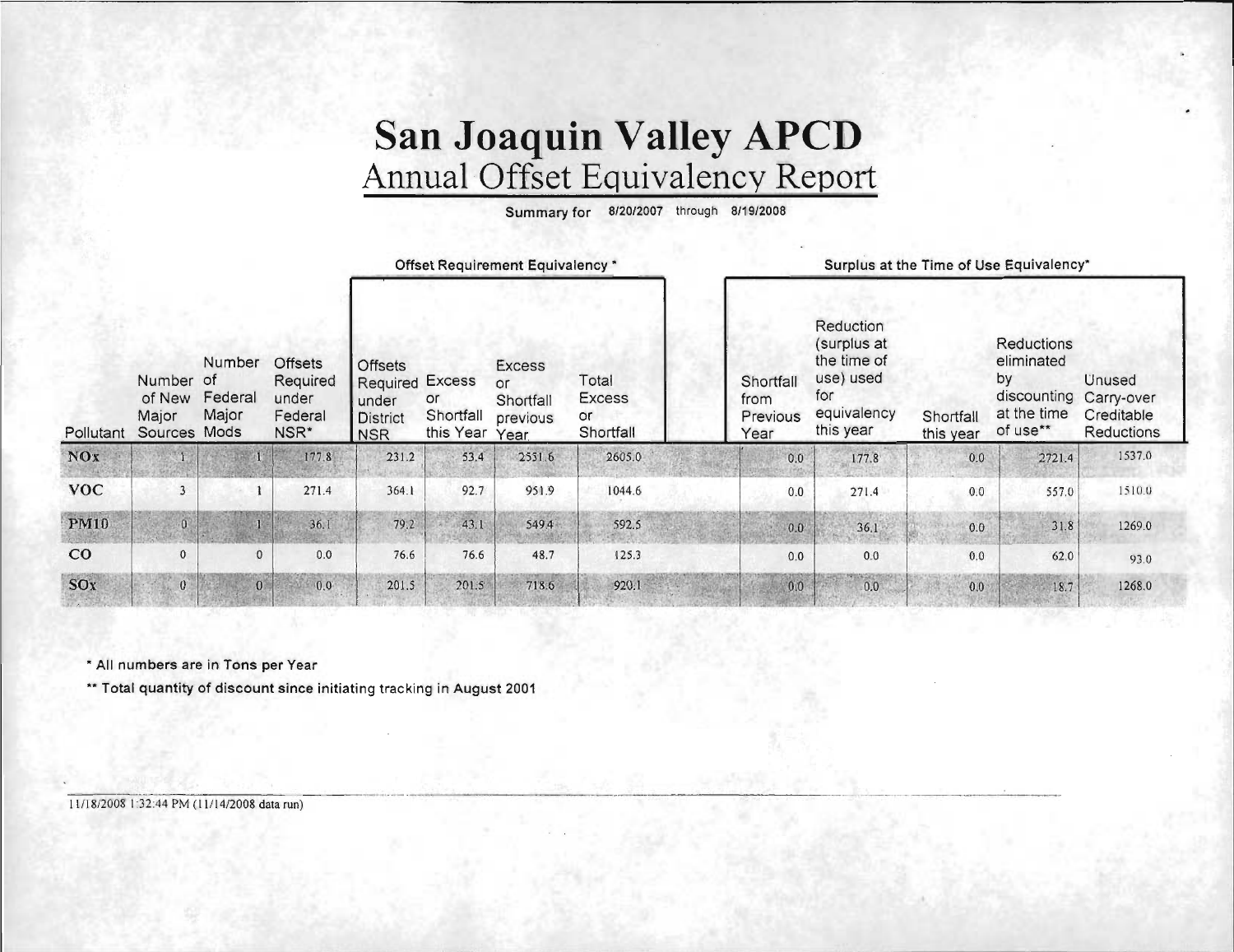# San Joaquin Valley APCD<br>Annual Offset Equivalency Report

Summary for 8/20/2007 through 8/19/2008

|             |                                      |                                                 |                                                                    | Offset Requirement Equivalency *                                                   |                              |                                                      |                                           | Surplus at the Time of Use Equivalency* |                                                                                         |                        |                                                                          |                                                         |
|-------------|--------------------------------------|-------------------------------------------------|--------------------------------------------------------------------|------------------------------------------------------------------------------------|------------------------------|------------------------------------------------------|-------------------------------------------|-----------------------------------------|-----------------------------------------------------------------------------------------|------------------------|--------------------------------------------------------------------------|---------------------------------------------------------|
| Pollutant   | Number<br>of New<br>Major<br>Sources | Number<br><b>ot</b><br>Federal<br>Major<br>Mods | <b>Offsets</b><br>Required<br>under<br>Federal<br>NSR <sup>*</sup> | <b>Offsets</b><br><b>Required Excess</b><br>under<br><b>District</b><br><b>NSR</b> | or<br>Shortfall<br>this Year | <b>Excess</b><br>or<br>Shortfall<br>previous<br>Year | Total<br><b>Excess</b><br>or<br>Shortfall | Shortfall<br>from<br>Previous<br>Year   | Reduction<br>(surplus at<br>the time of<br>use) used<br>for<br>equivalency<br>this year | Shortfall<br>this year | Reductions<br>eliminated<br>by<br>discounting<br>at the time<br>of use** | <b>Unused</b><br>Carry-over<br>Creditable<br>Reductions |
| <b>NOx</b>  |                                      |                                                 | 177.8                                                              | 231.2                                                                              | 53.4                         | 2551.6                                               | 2605.0                                    | 0.0                                     | 177.8                                                                                   | 0.0                    | 2721.4                                                                   | 1537.0                                                  |
| <b>VOC</b>  | $\overline{3}$                       |                                                 | 271.4                                                              | 364.1                                                                              | 92.7                         | 951.9                                                | 1044.6                                    | 0.0                                     | 271.4                                                                                   | 0.0                    | 557.0                                                                    | 1510.0                                                  |
| <b>PM10</b> | $\ddot{\mathbf{0}}$                  |                                                 | 36.1                                                               | 79.2                                                                               | 43.1                         | 549.4                                                | 592.5                                     | 0.0                                     | 36.1                                                                                    | 0.0                    | 31.8                                                                     | 1269.0                                                  |
| CO          | $\mathbf{0}$                         | $\mathbf{0}$                                    | 0.0                                                                | 76.6                                                                               | 76.6                         | 48.7                                                 | 125.3                                     | 0.0                                     | 0.0                                                                                     | 0.0                    | 62.0                                                                     | 93.0                                                    |
| SOx         | $\mathbf{0}$                         | $\mathbf{0}$                                    | 0.0                                                                | 201.5                                                                              | 201.5                        | 718.6                                                | 920.1                                     | 0.0                                     | 0.0                                                                                     | 0.0                    | 18.7                                                                     | 1268.0                                                  |

\* All numbers are in Tons per Year

\*\* Total quantity of discount since initiating tracking in August 2001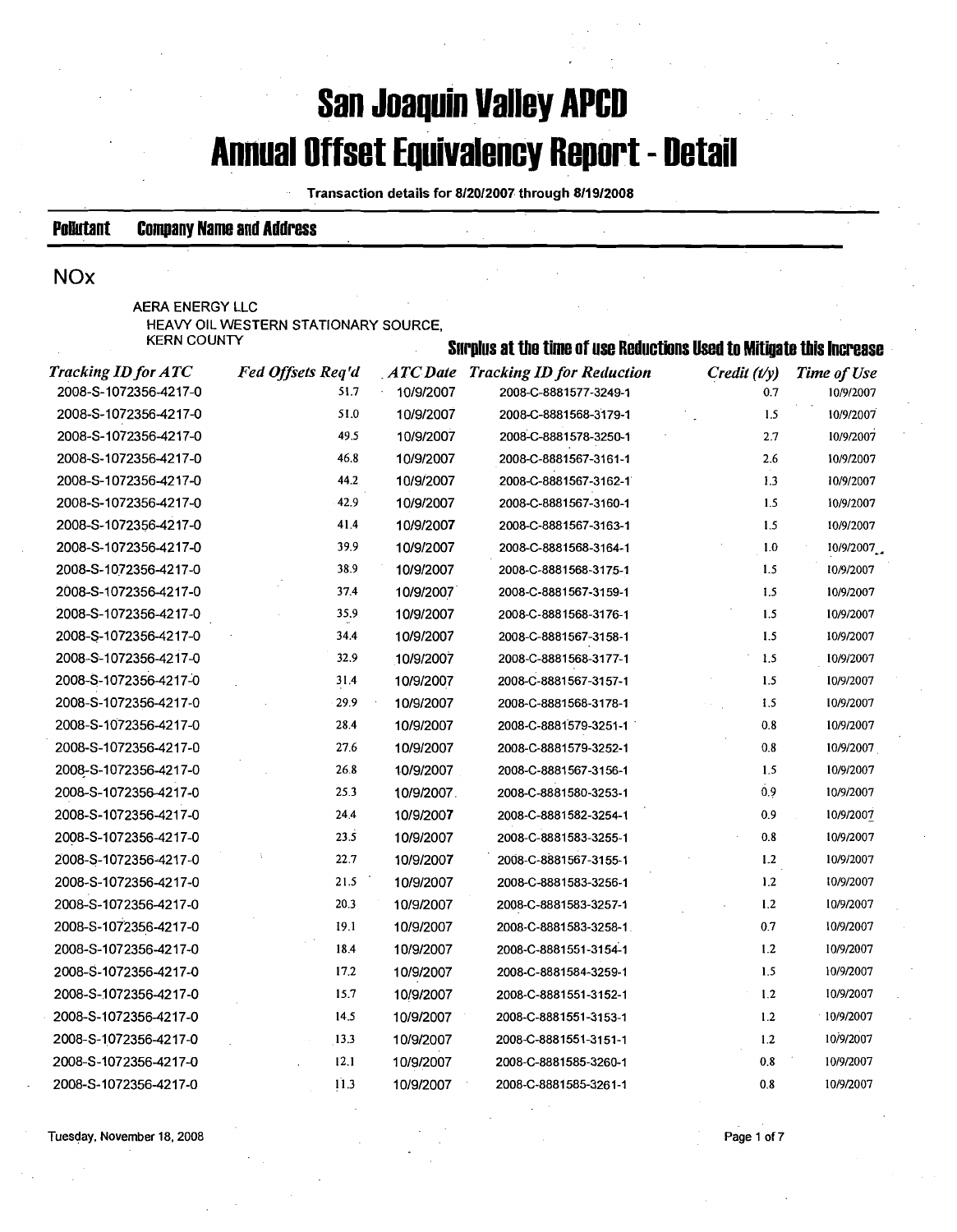# **San Joaquin Valley APCD Annual Offset Equivalency Report** - **Detail**

Transaction details for **8l2012007** through **8/19/2008** 

-

### **Pollutant Company Name and Address**

## **NOx**

| AERA ENERGY LLC                      |                                                                      |  |
|--------------------------------------|----------------------------------------------------------------------|--|
| HEAVY OIL WESTERN STATIONARY SOURCE. |                                                                      |  |
| <b>KERN COUNTY</b>                   | Surnlue at the time of yea Reductione Head to Mitingto thie Incrosco |  |

|                            |                   |            | thro of you hourstrong a                  |                   |             |
|----------------------------|-------------------|------------|-------------------------------------------|-------------------|-------------|
| <b>Tracking ID for ATC</b> | Fed Offsets Req'd |            | <b>ATC Date Tracking ID for Reduction</b> | $C$ redit $(t/y)$ | Time of Use |
| 2008-S-1072356-4217-0      | 51.7              | 10/9/2007  | 2008-C-8881577-3249-1                     | 0.7               | 10/9/2007   |
| 2008-S-1072356-4217-0      | 51.0              | 10/9/2007  | 2008-C-8881568-3179-1                     | 1.5               | 10/9/2007   |
| 2008-S-1072356-4217-0      | 49.5              | 10/9/2007  | 2008-C-8881578-3250-1                     | 2.7               | 10/9/2007   |
| 2008-S-1072356-4217-0      | 46.8              | 10/9/2007  | 2008-C-8881567-3161-1                     | 2.6               | 10/9/2007   |
| 2008-S-1072356-4217-0      | 44.2              | 10/9/2007  | 2008-C-8881567-3162-1                     | 1.3               | 10/9/2007   |
| 2008-S-1072356-4217-0      | 42.9              | 10/9/2007  | 2008-C-8881567-3160-1                     | 1.5               | 10/9/2007   |
| 2008-S-1072356-4217-0      | 41.4              | 10/9/2007  | 2008-C-8881567-3163-1                     | 1.5               | 10/9/2007   |
| 2008-S-1072356-4217-0      | 39.9              | 10/9/2007  | 2008-C-8881568-3164-1                     | 1.0               | 10/9/2007   |
| 2008-S-1072356-4217-0      | 38.9              | 10/9/2007  | 2008-C-8881568-3175-1                     | 1.5               | 10/9/2007   |
| 2008-S-1072356-4217-0      | 37.4              | 10/9/2007  | 2008-C-8881567-3159-1                     | 1.5               | 10/9/2007   |
| 2008-S-1072356-4217-0      | 35.9              | 10/9/2007  | 2008-C-8881568-3176-1                     | 1.5               | 10/9/2007   |
| 2008-S-1072356-4217-0      | 34.4              | 10/9/2007  | 2008-C-8881567-3158-1                     | 1.5               | 10/9/2007   |
| 2008-S-1072356-4217-0      | 32.9              | 10/9/2007  | 2008-C-8881568-3177-1                     | 1.5               | 10/9/2007   |
| 2008-S-1072356-4217-0      | 31.4              | 10/9/2007  | 2008-C-8881567-3157-1                     | 1.5               | 10/9/2007   |
| 2008-S-1072356-4217-0      | 29.9              | 10/9/2007  | 2008-C-8881568-3178-1                     | 1.5               | 10/9/2007   |
| 2008-S-1072356-4217-0      | 28.4              | 10/9/2007  | 2008-C-8881579-3251-1                     | 0.8               | 10/9/2007   |
| 2008-S-1072356-4217-0      | 27.6              | 10/9/2007  | 2008-C-8881579-3252-1                     | 0.8               | 10/9/2007   |
| 2008-S-1072356-4217-0      | 26.8              | 10/9/2007  | 2008-C-8881567-3156-1                     | 1.5               | 10/9/2007   |
| 2008-S-1072356-4217-0      | 25.3              | 10/9/2007. | 2008-C-8881580-3253-1                     | 0.9               | 10/9/2007   |
| 2008-S-1072356-4217-0      | 24.4              | 10/9/2007  | 2008-C-8881582-3254-1                     | 0.9               | 10/9/2007   |
| 2008-S-1072356-4217-0      | 23.5              | 10/9/2007  | 2008-C-8881583-3255-1                     | 0.8               | 10/9/2007   |
| 2008-S-1072356-4217-0      | 22.7              | 10/9/2007  | 2008-C-8881567-3155-1                     | 1.2               | 10/9/2007   |
| 2008-S-1072356-4217-0      | 21.5              | 10/9/2007  | 2008-C-8881583-3256-1                     | 1.2               | 10/9/2007   |
| 2008-S-1072356-4217-0      | 20.3              | 10/9/2007  | 2008-C-8881583-3257-1                     | 1.2               | 10/9/2007   |
| 2008-S-1072356-4217-0      | 19.1              | 10/9/2007  | 2008-C-8881583-3258-1                     | 0.7               | 10/9/2007   |
| 2008-S-1072356-4217-0      | 18.4              | 10/9/2007  | 2008-C-8881551-3154-1                     | 1.2               | 10/9/2007   |
| 2008-S-1072356-4217-0      | 17.2              | 10/9/2007  | 2008-C-8881584-3259-1                     | 1.5               | 10/9/2007   |
| 2008-S-1072356-4217-0      | 15.7              | 10/9/2007  | 2008-C-8881551-3152-1                     | 1.2               | 10/9/2007   |
| 2008-S-1072356-4217-0      | 14.5              | 10/9/2007  | 2008-C-8881551-3153-1                     | 1.2               | 10/9/2007   |
| 2008-S-1072356-4217-0      | 13.3              | 10/9/2007  | 2008-C-8881551-3151-1                     | 1.2               | 10/9/2007   |
| 2008-S-1072356-4217-0      | 12.1              | 10/9/2007  | 2008-C-8881585-3260-1                     | 0.8               | 10/9/2007   |
| 2008-8-1072356-4217-0-     | 113               | 10/0/2007  | 2008.C.RRR15R5.3261.1                     | ሰ ዩ               | 10/0/2007   |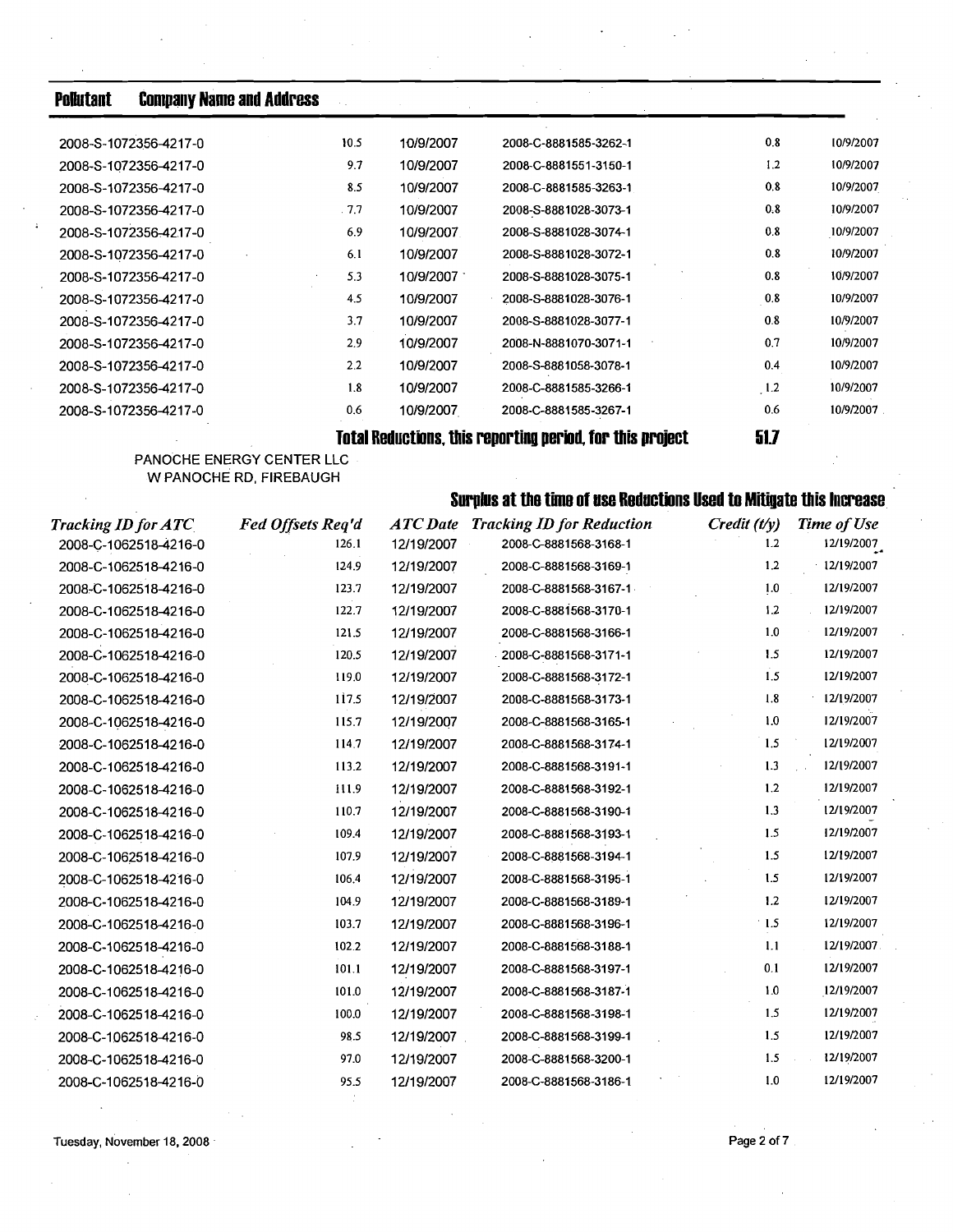**Pollutant Company Name and Address** 

|                       |      |           | Totol Doduotiano, thio nanontina noniod, fon thio nnoioat | E1 7 |           |
|-----------------------|------|-----------|-----------------------------------------------------------|------|-----------|
| 2008-S-1072356-4217-0 | 0.6  | 10/9/2007 | 2008-C-8881585-3267-1                                     | 0.6  | 10/9/2007 |
| 2008-S-1072356-4217-0 | 1,8  | 10/9/2007 | 2008-C-8881585-3266-1                                     | 1.2  | 10/9/2007 |
| 2008-S-1072356-4217-0 | 2.2  | 10/9/2007 | 2008-S-8881058-3078-1                                     | 0.4  | 10/9/2007 |
| 2008-S-1072356-4217-0 | 2.9  | 10/9/2007 | 2008-N-8881070-3071-1                                     | 0.7  | 10/9/2007 |
| 2008-S-1072356-4217-0 | 3.7  | 10/9/2007 | 2008-S-8881028-3077-1                                     | 0.8  | 10/9/2007 |
| 2008-S-1072356-4217-0 | 4.5  | 10/9/2007 | 2008-S-8881028-3076-1                                     | 0.8  | 10/9/2007 |
| 2008-S-1072356-4217-0 | 5.3  | 10/9/2007 | 2008-S-8881028-3075-1                                     | 0.8  | 10/9/2007 |
| 2008-S-1072356-4217-0 | 6.1  | 10/9/2007 | 2008-S-8881028-3072-1                                     | 0.8  | 10/9/2007 |
| 2008-S-1072356-4217-0 | 6.9  | 10/9/2007 | 2008-S-8881028-3074-1                                     | 0.8  | 10/9/2007 |
| 2008-S-1072356-4217-0 | .7.7 | 10/9/2007 | 2008-S-8881028-3073-1                                     | 0.8  | 10/9/2007 |
| 2008-S-1072356-4217-0 | 8.5  | 10/9/2007 | 2008-C-8881585-3263-1                                     | 0.8  | 10/9/2007 |
| 2008-S-1072356-4217-0 | 9.7  | 10/9/2007 | 2008-C-8881551-3150-1                                     | 1.2  | 10/9/2007 |
| 2008-S-1072356-4217-0 | 10.5 | 10/9/2007 | 2008-C-8881585-3262-1                                     | 0.8  | 10/9/2007 |
|                       |      |           |                                                           |      |           |

**Total Reductions, this reporting period, for this project 51.7** 

**PANOCHE ENERGY CENTER LLC W PANOCHE RD, FIREBAUGH** 

# **Surplus at the time of use Reductions Used to Mitigate this Increase**

| <b>Tracking ID for ATC</b> | Fed Offsets Req'd | <b>ATC</b> Date | <b>Tracking ID for Reduction</b> | $C$ redit $(t/y)$ | <b>Time of Use</b> |
|----------------------------|-------------------|-----------------|----------------------------------|-------------------|--------------------|
| 2008-C-1062518-4216-0      | 126.1             | 12/19/2007      | 2008-C-8881568-3168-1            | 1.2               | 12/19/2007         |
| 2008-C-1062518-4216-0      | 124.9             | 12/19/2007      | 2008-C-8881568-3169-1            | 1.2               | 12/19/2007         |
| 2008-C-1062518-4216-0      | 123.7             | 12/19/2007      | 2008-C-8881568-3167-1            | 1.0               | 12/19/2007         |
| 2008-C-1062518-4216-0      | 122.7             | 12/19/2007      | 2008-C-8881568-3170-1            | 1.2               | 12/19/2007         |
| 2008-C-1062518-4216-0      | 121.5             | 12/19/2007      | 2008-C-8881568-3166-1            | 1.0               | 12/19/2007         |
| 2008-C-1062518-4216-0      | 120.5             | 12/19/2007      | 2008-C-8881568-3171-1            | 1.5               | 12/19/2007         |
| 2008-C-1062518-4216-0      | 119.0             | 12/19/2007      | 2008-C-8881568-3172-1            | 1.5               | 12/19/2007         |
| 2008-C-1062518-4216-0      | 117.5             | 12/19/2007      | 2008-C-8881568-3173-1            | 1.8               | 12/19/2007         |
| 2008-C-1062518-4216-0      | 115.7             | 12/19/2007      | 2008-C-8881568-3165-1            | 1.0               | 12/19/2007         |
| 2008-C-1062518-4216-0      | 114.7             | 12/19/2007      | 2008-C-8881568-3174-1            | 1.5               | 12/19/2007         |
| 2008-C-1062518-4216-0      | 113.2             | 12/19/2007      | 2008-C-8881568-3191-1            | 1.3               | 12/19/2007         |
| 2008-C-1062518-4216-0      | 111.9             | 12/19/2007      | 2008-C-8881568-3192-1            | 1.2               | 12/19/2007         |
| 2008-C-1062518-4216-0      | 110.7             | 12/19/2007      | 2008-C-8881568-3190-1            | 1.3               | 12/19/2007         |
| 2008-C-1062518-4216-0      | 109.4             | 12/19/2007      | 2008-C-8881568-3193-1            | 1.5               | 12/19/2007         |
| 2008-C-1062518-4216-0      | 107.9             | 12/19/2007      | 2008-C-8881568-3194-1            | 1.5               | 12/19/2007         |
| 2008-C-1062518-4216-0      | 106.4             | 12/19/2007      | 2008-C-8881568-3195-1            | 1.5               | 12/19/2007         |
| 2008-C-1062518-4216-0      | 104.9             | 12/19/2007      | 2008-C-8881568-3189-1            | 1.2               | 12/19/2007         |
| 2008-C-1062518-4216-0      | 103.7             | 12/19/2007      | 2008-C-8881568-3196-1            | $-1.5$            | 12/19/2007         |
| 2008-C-1062518-4216-0      | 102.2             | 12/19/2007      | 2008-C-8881568-3188-1            | 1.1               | 12/19/2007         |
| 2008-C-1062518-4216-0      | 101.1             | 12/19/2007      | 2008-C-8881568-3197-1            | 0.1               | 12/19/2007         |
| 2008-C-1062518-4216-0      | 101.0             | 12/19/2007      | 2008-C-8881568-3187-1            | 1.0               | 12/19/2007         |
| 2008-C-1062518-4216-0      | 100.0             | 12/19/2007      | 2008-C-8881568-3198-1            | 1.5               | 12/19/2007         |
| 2008-C-1062518-4216-0      | 98.5              | 12/19/2007      | 2008-C-8881568-3199-1            | 1.5               | 12/19/2007         |
| 2008-C-1062518-4216-0      | 97.0              | 12/19/2007      | 2008-C-8881568-3200-1            | 1.5               | 12/19/2007         |
| 2008-C-1062518-4216-0      | 95.5              | 12/19/2007      | 2008-C-8881568-3186-1            | 1.0               | 12/19/2007         |
|                            |                   |                 |                                  |                   |                    |

**Tuesday, November 18, 2008 Page 2 of 7 Page 2 of 7**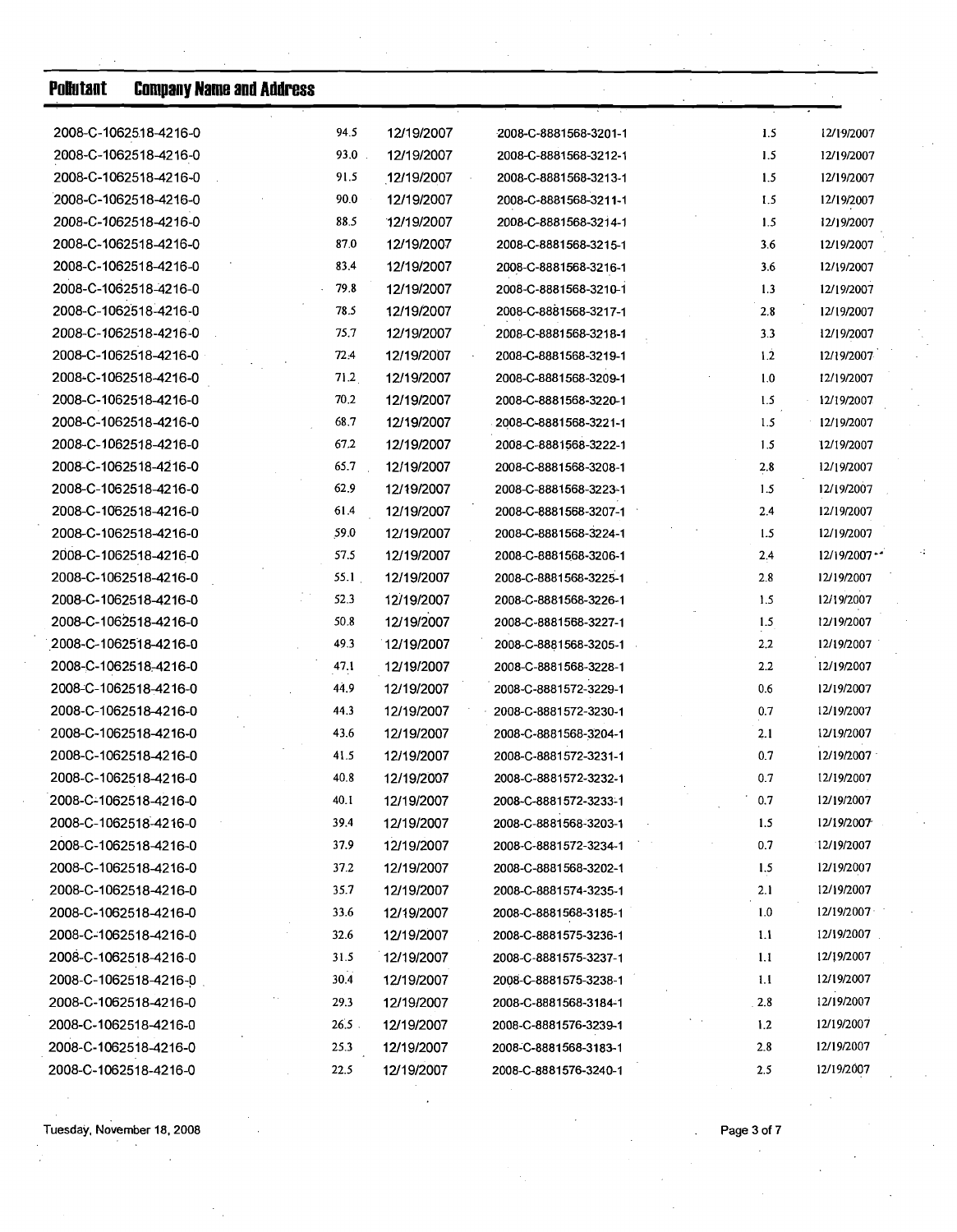| 2008-C-1062518-4216-0<br>94.5<br>12/19/2007<br>2008-C-8881568-3201-1<br>$93.0$ .<br>2008-C-1062518-4216-0<br>12/19/2007<br>2008-C-8881568-3212-1<br>91.5<br>2008-C-1062518-4216-0<br>12/19/2007<br>2008-C-8881568-3213-1<br>2008-C-1062518-4216-0<br>90.0<br>12/19/2007<br>2008-C-8881568-3211-1<br>2008-C-1062518-4216-0<br>88.5<br>12/19/2007<br>2008-C-8881568-3214-1<br>2008-C-1062518-4216-0<br>87.0<br>12/19/2007<br>2008-C-8881568-3215-1<br>2008-C-1062518-4216-0<br>83.4<br>12/19/2007<br>2008-C-8881568-3216-1<br>2008-C-1062518-4216-0<br>79.8<br>12/19/2007<br>2008-C-8881568-3210-1<br>2008-C-1062518-4216-0<br>78.5<br>12/19/2007<br>2008-C-8881568-3217-1<br>2008-C-1062518-4216-0<br>75.7<br>12/19/2007<br>2008-C-8881568-3218-1<br>2008-C-1062518-4216-0<br>72.4<br>12/19/2007<br>2008-C-8881568-3219-1<br>2008-C-1062518-4216-0<br>71.2<br>12/19/2007<br>2008-C-8881568-3209-1<br>2008-C-1062518-4216-0<br>70.2<br>12/19/2007<br>2008-C-8881568-3220-1<br>68.7<br>2008-C-1062518-4216-0<br>12/19/2007<br>2008-C-8881568-3221-1<br>2008-C-1062518-4216-0<br>67.2<br>12/19/2007<br>2008-C-8881568-3222-1<br>2008-C-1062518-4216-0<br>65.7<br>12/19/2007<br>2008-C-8881568-3208-1<br>2008-C-1062518-4216-0<br>62.9<br>12/19/2007<br>2008-C-8881568-3223-1<br>2008-C-1062518-4216-0<br>61.4<br>12/19/2007<br>2008-C-8881568-3207-1<br>59.0<br>2008-C-1062518-4216-0<br>12/19/2007<br>2008-C-8881568-3224-1<br>2008-C-1062518-4216-0<br>57.5<br>12/19/2007<br>2008-C-8881568-3206-1<br>55.1<br>2008-C-1062518-4216-0<br>12/19/2007<br>2008-C-8881568-3225-1<br>2008-C-1062518-4216-0<br>52.3<br>12/19/2007<br>2008-C-8881568-3226-1<br>2008-C-1062518-4216-0<br>12/19/2007<br>50.8<br>2008-C-8881568-3227-1<br>2008-C-1062518-4216-0<br>49.3<br>12/19/2007<br>2008-C-8881568-3205-1<br>2008-C-1062518-4216-0<br>12/19/2007<br>47.1<br>2008-C-8881568-3228-1<br>2008-C-1062518-4216-0<br>44.9<br>12/19/2007<br>2008-C-8881572-3229-1<br>2008-C-1062518-4216-0<br>44.3<br>12/19/2007<br>2008-C-8881572-3230-1<br>2008-C-1062518-4216-0<br>43.6<br>12/19/2007<br>2008-C-8881568-3204-1<br>2008-C-1062518-4216-0<br>12/19/2007<br>41.5<br>2008-C-8881572-3231-1<br>2008-C-1062518-4216-0<br>12/19/2007<br>40.8<br>2008-C-8881572-3232-1<br>2008-C-1062518-4216-0<br>40.1<br>12/19/2007<br>2008-C-8881572-3233-1<br>2008-C-1062518-4216-0<br>39.4<br>12/19/2007<br>2008-C-8881568-3203-1<br>37.9<br>12/19/2007<br>2008-C-1062518-4216-0<br>2008-C-8881572-3234-1<br>2008-C-1062518-4216-0<br>37.2<br>12/19/2007<br>2008-C-8881568-3202-1<br>2008-C-1062518-4216-0<br>35.7<br>12/19/2007<br>2008-C-8881574-3235-1<br>2008-C-1062518-4216-0<br>33.6<br>12/19/2007<br>2008-C-8881568-3185-1<br>32.6<br>2008-C-1062518-4216-0<br>12/19/2007<br>2008-C-8881575-3236-1<br>2008-C-1062518-4216-0<br>31.5<br>12/19/2007<br>2008-C-8881575-3237-1<br>2008-C-1062518-4216-0<br>30.4<br>12/19/2007<br>2008-C-8881575-3238-1 | <b>Pollutant</b> | <b>Company Name and Address</b> |  |     |                 |
|--------------------------------------------------------------------------------------------------------------------------------------------------------------------------------------------------------------------------------------------------------------------------------------------------------------------------------------------------------------------------------------------------------------------------------------------------------------------------------------------------------------------------------------------------------------------------------------------------------------------------------------------------------------------------------------------------------------------------------------------------------------------------------------------------------------------------------------------------------------------------------------------------------------------------------------------------------------------------------------------------------------------------------------------------------------------------------------------------------------------------------------------------------------------------------------------------------------------------------------------------------------------------------------------------------------------------------------------------------------------------------------------------------------------------------------------------------------------------------------------------------------------------------------------------------------------------------------------------------------------------------------------------------------------------------------------------------------------------------------------------------------------------------------------------------------------------------------------------------------------------------------------------------------------------------------------------------------------------------------------------------------------------------------------------------------------------------------------------------------------------------------------------------------------------------------------------------------------------------------------------------------------------------------------------------------------------------------------------------------------------------------------------------------------------------------------------------------------------------------------------------------------------------------------------------------------------------------------------------------------------------------------------------------------------------------------------------------------------------------------------------------------------------------------------------------------------------------------------------------------------------------------------------------------------|------------------|---------------------------------|--|-----|-----------------|
|                                                                                                                                                                                                                                                                                                                                                                                                                                                                                                                                                                                                                                                                                                                                                                                                                                                                                                                                                                                                                                                                                                                                                                                                                                                                                                                                                                                                                                                                                                                                                                                                                                                                                                                                                                                                                                                                                                                                                                                                                                                                                                                                                                                                                                                                                                                                                                                                                                                                                                                                                                                                                                                                                                                                                                                                                                                                                                                          |                  |                                 |  | 1.5 | 12/19/2007      |
|                                                                                                                                                                                                                                                                                                                                                                                                                                                                                                                                                                                                                                                                                                                                                                                                                                                                                                                                                                                                                                                                                                                                                                                                                                                                                                                                                                                                                                                                                                                                                                                                                                                                                                                                                                                                                                                                                                                                                                                                                                                                                                                                                                                                                                                                                                                                                                                                                                                                                                                                                                                                                                                                                                                                                                                                                                                                                                                          |                  |                                 |  | 1.5 | 12/19/2007      |
|                                                                                                                                                                                                                                                                                                                                                                                                                                                                                                                                                                                                                                                                                                                                                                                                                                                                                                                                                                                                                                                                                                                                                                                                                                                                                                                                                                                                                                                                                                                                                                                                                                                                                                                                                                                                                                                                                                                                                                                                                                                                                                                                                                                                                                                                                                                                                                                                                                                                                                                                                                                                                                                                                                                                                                                                                                                                                                                          |                  |                                 |  | 1.5 | 12/19/2007      |
|                                                                                                                                                                                                                                                                                                                                                                                                                                                                                                                                                                                                                                                                                                                                                                                                                                                                                                                                                                                                                                                                                                                                                                                                                                                                                                                                                                                                                                                                                                                                                                                                                                                                                                                                                                                                                                                                                                                                                                                                                                                                                                                                                                                                                                                                                                                                                                                                                                                                                                                                                                                                                                                                                                                                                                                                                                                                                                                          |                  |                                 |  | 1.5 | 12/19/2007      |
|                                                                                                                                                                                                                                                                                                                                                                                                                                                                                                                                                                                                                                                                                                                                                                                                                                                                                                                                                                                                                                                                                                                                                                                                                                                                                                                                                                                                                                                                                                                                                                                                                                                                                                                                                                                                                                                                                                                                                                                                                                                                                                                                                                                                                                                                                                                                                                                                                                                                                                                                                                                                                                                                                                                                                                                                                                                                                                                          |                  |                                 |  | 1.5 | 12/19/2007      |
|                                                                                                                                                                                                                                                                                                                                                                                                                                                                                                                                                                                                                                                                                                                                                                                                                                                                                                                                                                                                                                                                                                                                                                                                                                                                                                                                                                                                                                                                                                                                                                                                                                                                                                                                                                                                                                                                                                                                                                                                                                                                                                                                                                                                                                                                                                                                                                                                                                                                                                                                                                                                                                                                                                                                                                                                                                                                                                                          |                  |                                 |  | 3.6 | 12/19/2007      |
|                                                                                                                                                                                                                                                                                                                                                                                                                                                                                                                                                                                                                                                                                                                                                                                                                                                                                                                                                                                                                                                                                                                                                                                                                                                                                                                                                                                                                                                                                                                                                                                                                                                                                                                                                                                                                                                                                                                                                                                                                                                                                                                                                                                                                                                                                                                                                                                                                                                                                                                                                                                                                                                                                                                                                                                                                                                                                                                          |                  |                                 |  | 3.6 | 12/19/2007      |
|                                                                                                                                                                                                                                                                                                                                                                                                                                                                                                                                                                                                                                                                                                                                                                                                                                                                                                                                                                                                                                                                                                                                                                                                                                                                                                                                                                                                                                                                                                                                                                                                                                                                                                                                                                                                                                                                                                                                                                                                                                                                                                                                                                                                                                                                                                                                                                                                                                                                                                                                                                                                                                                                                                                                                                                                                                                                                                                          |                  |                                 |  | 1.3 | 12/19/2007      |
|                                                                                                                                                                                                                                                                                                                                                                                                                                                                                                                                                                                                                                                                                                                                                                                                                                                                                                                                                                                                                                                                                                                                                                                                                                                                                                                                                                                                                                                                                                                                                                                                                                                                                                                                                                                                                                                                                                                                                                                                                                                                                                                                                                                                                                                                                                                                                                                                                                                                                                                                                                                                                                                                                                                                                                                                                                                                                                                          |                  |                                 |  | 2.8 | 12/19/2007      |
|                                                                                                                                                                                                                                                                                                                                                                                                                                                                                                                                                                                                                                                                                                                                                                                                                                                                                                                                                                                                                                                                                                                                                                                                                                                                                                                                                                                                                                                                                                                                                                                                                                                                                                                                                                                                                                                                                                                                                                                                                                                                                                                                                                                                                                                                                                                                                                                                                                                                                                                                                                                                                                                                                                                                                                                                                                                                                                                          |                  |                                 |  | 3.3 | 12/19/2007      |
|                                                                                                                                                                                                                                                                                                                                                                                                                                                                                                                                                                                                                                                                                                                                                                                                                                                                                                                                                                                                                                                                                                                                                                                                                                                                                                                                                                                                                                                                                                                                                                                                                                                                                                                                                                                                                                                                                                                                                                                                                                                                                                                                                                                                                                                                                                                                                                                                                                                                                                                                                                                                                                                                                                                                                                                                                                                                                                                          |                  |                                 |  | 1.2 | 12/19/2007      |
|                                                                                                                                                                                                                                                                                                                                                                                                                                                                                                                                                                                                                                                                                                                                                                                                                                                                                                                                                                                                                                                                                                                                                                                                                                                                                                                                                                                                                                                                                                                                                                                                                                                                                                                                                                                                                                                                                                                                                                                                                                                                                                                                                                                                                                                                                                                                                                                                                                                                                                                                                                                                                                                                                                                                                                                                                                                                                                                          |                  |                                 |  | 1.0 | 12/19/2007      |
|                                                                                                                                                                                                                                                                                                                                                                                                                                                                                                                                                                                                                                                                                                                                                                                                                                                                                                                                                                                                                                                                                                                                                                                                                                                                                                                                                                                                                                                                                                                                                                                                                                                                                                                                                                                                                                                                                                                                                                                                                                                                                                                                                                                                                                                                                                                                                                                                                                                                                                                                                                                                                                                                                                                                                                                                                                                                                                                          |                  |                                 |  | 1.5 | 12/19/2007      |
|                                                                                                                                                                                                                                                                                                                                                                                                                                                                                                                                                                                                                                                                                                                                                                                                                                                                                                                                                                                                                                                                                                                                                                                                                                                                                                                                                                                                                                                                                                                                                                                                                                                                                                                                                                                                                                                                                                                                                                                                                                                                                                                                                                                                                                                                                                                                                                                                                                                                                                                                                                                                                                                                                                                                                                                                                                                                                                                          |                  |                                 |  | 1.5 | 12/19/2007      |
|                                                                                                                                                                                                                                                                                                                                                                                                                                                                                                                                                                                                                                                                                                                                                                                                                                                                                                                                                                                                                                                                                                                                                                                                                                                                                                                                                                                                                                                                                                                                                                                                                                                                                                                                                                                                                                                                                                                                                                                                                                                                                                                                                                                                                                                                                                                                                                                                                                                                                                                                                                                                                                                                                                                                                                                                                                                                                                                          |                  |                                 |  | 1.5 | 12/19/2007      |
|                                                                                                                                                                                                                                                                                                                                                                                                                                                                                                                                                                                                                                                                                                                                                                                                                                                                                                                                                                                                                                                                                                                                                                                                                                                                                                                                                                                                                                                                                                                                                                                                                                                                                                                                                                                                                                                                                                                                                                                                                                                                                                                                                                                                                                                                                                                                                                                                                                                                                                                                                                                                                                                                                                                                                                                                                                                                                                                          |                  |                                 |  | 2.8 | 12/19/2007      |
|                                                                                                                                                                                                                                                                                                                                                                                                                                                                                                                                                                                                                                                                                                                                                                                                                                                                                                                                                                                                                                                                                                                                                                                                                                                                                                                                                                                                                                                                                                                                                                                                                                                                                                                                                                                                                                                                                                                                                                                                                                                                                                                                                                                                                                                                                                                                                                                                                                                                                                                                                                                                                                                                                                                                                                                                                                                                                                                          |                  |                                 |  | 1.5 | 12/19/2007      |
|                                                                                                                                                                                                                                                                                                                                                                                                                                                                                                                                                                                                                                                                                                                                                                                                                                                                                                                                                                                                                                                                                                                                                                                                                                                                                                                                                                                                                                                                                                                                                                                                                                                                                                                                                                                                                                                                                                                                                                                                                                                                                                                                                                                                                                                                                                                                                                                                                                                                                                                                                                                                                                                                                                                                                                                                                                                                                                                          |                  |                                 |  | 2.4 | 12/19/2007      |
|                                                                                                                                                                                                                                                                                                                                                                                                                                                                                                                                                                                                                                                                                                                                                                                                                                                                                                                                                                                                                                                                                                                                                                                                                                                                                                                                                                                                                                                                                                                                                                                                                                                                                                                                                                                                                                                                                                                                                                                                                                                                                                                                                                                                                                                                                                                                                                                                                                                                                                                                                                                                                                                                                                                                                                                                                                                                                                                          |                  |                                 |  | 1.5 | 12/19/2007      |
|                                                                                                                                                                                                                                                                                                                                                                                                                                                                                                                                                                                                                                                                                                                                                                                                                                                                                                                                                                                                                                                                                                                                                                                                                                                                                                                                                                                                                                                                                                                                                                                                                                                                                                                                                                                                                                                                                                                                                                                                                                                                                                                                                                                                                                                                                                                                                                                                                                                                                                                                                                                                                                                                                                                                                                                                                                                                                                                          |                  |                                 |  | 2.4 | $12/19/2007$ ** |
|                                                                                                                                                                                                                                                                                                                                                                                                                                                                                                                                                                                                                                                                                                                                                                                                                                                                                                                                                                                                                                                                                                                                                                                                                                                                                                                                                                                                                                                                                                                                                                                                                                                                                                                                                                                                                                                                                                                                                                                                                                                                                                                                                                                                                                                                                                                                                                                                                                                                                                                                                                                                                                                                                                                                                                                                                                                                                                                          |                  |                                 |  | 2.8 | 12/19/2007      |
|                                                                                                                                                                                                                                                                                                                                                                                                                                                                                                                                                                                                                                                                                                                                                                                                                                                                                                                                                                                                                                                                                                                                                                                                                                                                                                                                                                                                                                                                                                                                                                                                                                                                                                                                                                                                                                                                                                                                                                                                                                                                                                                                                                                                                                                                                                                                                                                                                                                                                                                                                                                                                                                                                                                                                                                                                                                                                                                          |                  |                                 |  | 1.5 | 12/19/2007      |
|                                                                                                                                                                                                                                                                                                                                                                                                                                                                                                                                                                                                                                                                                                                                                                                                                                                                                                                                                                                                                                                                                                                                                                                                                                                                                                                                                                                                                                                                                                                                                                                                                                                                                                                                                                                                                                                                                                                                                                                                                                                                                                                                                                                                                                                                                                                                                                                                                                                                                                                                                                                                                                                                                                                                                                                                                                                                                                                          |                  |                                 |  | 1.5 | 12/19/2007      |
|                                                                                                                                                                                                                                                                                                                                                                                                                                                                                                                                                                                                                                                                                                                                                                                                                                                                                                                                                                                                                                                                                                                                                                                                                                                                                                                                                                                                                                                                                                                                                                                                                                                                                                                                                                                                                                                                                                                                                                                                                                                                                                                                                                                                                                                                                                                                                                                                                                                                                                                                                                                                                                                                                                                                                                                                                                                                                                                          |                  |                                 |  | 2.2 | 12/19/2007      |
|                                                                                                                                                                                                                                                                                                                                                                                                                                                                                                                                                                                                                                                                                                                                                                                                                                                                                                                                                                                                                                                                                                                                                                                                                                                                                                                                                                                                                                                                                                                                                                                                                                                                                                                                                                                                                                                                                                                                                                                                                                                                                                                                                                                                                                                                                                                                                                                                                                                                                                                                                                                                                                                                                                                                                                                                                                                                                                                          |                  |                                 |  | 2.2 | 12/19/2007      |
|                                                                                                                                                                                                                                                                                                                                                                                                                                                                                                                                                                                                                                                                                                                                                                                                                                                                                                                                                                                                                                                                                                                                                                                                                                                                                                                                                                                                                                                                                                                                                                                                                                                                                                                                                                                                                                                                                                                                                                                                                                                                                                                                                                                                                                                                                                                                                                                                                                                                                                                                                                                                                                                                                                                                                                                                                                                                                                                          |                  |                                 |  | 0.6 | 12/19/2007      |
|                                                                                                                                                                                                                                                                                                                                                                                                                                                                                                                                                                                                                                                                                                                                                                                                                                                                                                                                                                                                                                                                                                                                                                                                                                                                                                                                                                                                                                                                                                                                                                                                                                                                                                                                                                                                                                                                                                                                                                                                                                                                                                                                                                                                                                                                                                                                                                                                                                                                                                                                                                                                                                                                                                                                                                                                                                                                                                                          |                  |                                 |  | 0.7 | 12/19/2007      |
|                                                                                                                                                                                                                                                                                                                                                                                                                                                                                                                                                                                                                                                                                                                                                                                                                                                                                                                                                                                                                                                                                                                                                                                                                                                                                                                                                                                                                                                                                                                                                                                                                                                                                                                                                                                                                                                                                                                                                                                                                                                                                                                                                                                                                                                                                                                                                                                                                                                                                                                                                                                                                                                                                                                                                                                                                                                                                                                          |                  |                                 |  | 2.1 | 12/19/2007      |
|                                                                                                                                                                                                                                                                                                                                                                                                                                                                                                                                                                                                                                                                                                                                                                                                                                                                                                                                                                                                                                                                                                                                                                                                                                                                                                                                                                                                                                                                                                                                                                                                                                                                                                                                                                                                                                                                                                                                                                                                                                                                                                                                                                                                                                                                                                                                                                                                                                                                                                                                                                                                                                                                                                                                                                                                                                                                                                                          |                  |                                 |  | 07  | 12/19/2007      |
|                                                                                                                                                                                                                                                                                                                                                                                                                                                                                                                                                                                                                                                                                                                                                                                                                                                                                                                                                                                                                                                                                                                                                                                                                                                                                                                                                                                                                                                                                                                                                                                                                                                                                                                                                                                                                                                                                                                                                                                                                                                                                                                                                                                                                                                                                                                                                                                                                                                                                                                                                                                                                                                                                                                                                                                                                                                                                                                          |                  |                                 |  | 0.7 | 12/19/2007      |
|                                                                                                                                                                                                                                                                                                                                                                                                                                                                                                                                                                                                                                                                                                                                                                                                                                                                                                                                                                                                                                                                                                                                                                                                                                                                                                                                                                                                                                                                                                                                                                                                                                                                                                                                                                                                                                                                                                                                                                                                                                                                                                                                                                                                                                                                                                                                                                                                                                                                                                                                                                                                                                                                                                                                                                                                                                                                                                                          |                  |                                 |  | 0.7 | 12/19/2007      |
|                                                                                                                                                                                                                                                                                                                                                                                                                                                                                                                                                                                                                                                                                                                                                                                                                                                                                                                                                                                                                                                                                                                                                                                                                                                                                                                                                                                                                                                                                                                                                                                                                                                                                                                                                                                                                                                                                                                                                                                                                                                                                                                                                                                                                                                                                                                                                                                                                                                                                                                                                                                                                                                                                                                                                                                                                                                                                                                          |                  |                                 |  | 1.5 | 12/19/2007      |
|                                                                                                                                                                                                                                                                                                                                                                                                                                                                                                                                                                                                                                                                                                                                                                                                                                                                                                                                                                                                                                                                                                                                                                                                                                                                                                                                                                                                                                                                                                                                                                                                                                                                                                                                                                                                                                                                                                                                                                                                                                                                                                                                                                                                                                                                                                                                                                                                                                                                                                                                                                                                                                                                                                                                                                                                                                                                                                                          |                  |                                 |  | 0.7 | 12/19/2007      |
|                                                                                                                                                                                                                                                                                                                                                                                                                                                                                                                                                                                                                                                                                                                                                                                                                                                                                                                                                                                                                                                                                                                                                                                                                                                                                                                                                                                                                                                                                                                                                                                                                                                                                                                                                                                                                                                                                                                                                                                                                                                                                                                                                                                                                                                                                                                                                                                                                                                                                                                                                                                                                                                                                                                                                                                                                                                                                                                          |                  |                                 |  | 1.5 | 12/19/2007      |
|                                                                                                                                                                                                                                                                                                                                                                                                                                                                                                                                                                                                                                                                                                                                                                                                                                                                                                                                                                                                                                                                                                                                                                                                                                                                                                                                                                                                                                                                                                                                                                                                                                                                                                                                                                                                                                                                                                                                                                                                                                                                                                                                                                                                                                                                                                                                                                                                                                                                                                                                                                                                                                                                                                                                                                                                                                                                                                                          |                  |                                 |  | 2.1 | 12/19/2007      |
|                                                                                                                                                                                                                                                                                                                                                                                                                                                                                                                                                                                                                                                                                                                                                                                                                                                                                                                                                                                                                                                                                                                                                                                                                                                                                                                                                                                                                                                                                                                                                                                                                                                                                                                                                                                                                                                                                                                                                                                                                                                                                                                                                                                                                                                                                                                                                                                                                                                                                                                                                                                                                                                                                                                                                                                                                                                                                                                          |                  |                                 |  | 1.0 | 12/19/2007      |
|                                                                                                                                                                                                                                                                                                                                                                                                                                                                                                                                                                                                                                                                                                                                                                                                                                                                                                                                                                                                                                                                                                                                                                                                                                                                                                                                                                                                                                                                                                                                                                                                                                                                                                                                                                                                                                                                                                                                                                                                                                                                                                                                                                                                                                                                                                                                                                                                                                                                                                                                                                                                                                                                                                                                                                                                                                                                                                                          |                  |                                 |  | 1.1 | 12/19/2007      |
|                                                                                                                                                                                                                                                                                                                                                                                                                                                                                                                                                                                                                                                                                                                                                                                                                                                                                                                                                                                                                                                                                                                                                                                                                                                                                                                                                                                                                                                                                                                                                                                                                                                                                                                                                                                                                                                                                                                                                                                                                                                                                                                                                                                                                                                                                                                                                                                                                                                                                                                                                                                                                                                                                                                                                                                                                                                                                                                          |                  |                                 |  | 1.1 | 12/19/2007      |
|                                                                                                                                                                                                                                                                                                                                                                                                                                                                                                                                                                                                                                                                                                                                                                                                                                                                                                                                                                                                                                                                                                                                                                                                                                                                                                                                                                                                                                                                                                                                                                                                                                                                                                                                                                                                                                                                                                                                                                                                                                                                                                                                                                                                                                                                                                                                                                                                                                                                                                                                                                                                                                                                                                                                                                                                                                                                                                                          |                  |                                 |  | 1.1 | 12/19/2007      |
| 2008-C-1062518-4216-0<br>29.3<br>12/19/2007<br>2008-C-8881568-3184-1                                                                                                                                                                                                                                                                                                                                                                                                                                                                                                                                                                                                                                                                                                                                                                                                                                                                                                                                                                                                                                                                                                                                                                                                                                                                                                                                                                                                                                                                                                                                                                                                                                                                                                                                                                                                                                                                                                                                                                                                                                                                                                                                                                                                                                                                                                                                                                                                                                                                                                                                                                                                                                                                                                                                                                                                                                                     |                  |                                 |  | 2.8 | 12/19/2007      |
| 2008-C-1062518-4216-0<br>$26.5$ .<br>12/19/2007<br>2008-C-8881576-3239-1                                                                                                                                                                                                                                                                                                                                                                                                                                                                                                                                                                                                                                                                                                                                                                                                                                                                                                                                                                                                                                                                                                                                                                                                                                                                                                                                                                                                                                                                                                                                                                                                                                                                                                                                                                                                                                                                                                                                                                                                                                                                                                                                                                                                                                                                                                                                                                                                                                                                                                                                                                                                                                                                                                                                                                                                                                                 |                  |                                 |  | 1.2 | 12/19/2007      |
| 25.3<br>2008-C-1062518-4216-0<br>12/19/2007<br>2008-C-8881568-3183-1                                                                                                                                                                                                                                                                                                                                                                                                                                                                                                                                                                                                                                                                                                                                                                                                                                                                                                                                                                                                                                                                                                                                                                                                                                                                                                                                                                                                                                                                                                                                                                                                                                                                                                                                                                                                                                                                                                                                                                                                                                                                                                                                                                                                                                                                                                                                                                                                                                                                                                                                                                                                                                                                                                                                                                                                                                                     |                  |                                 |  | 2.8 | 12/19/2007      |
| 2008-C-1062518-4216-0<br>12/19/2007<br>22.5<br>2008-C-8881576-3240-1                                                                                                                                                                                                                                                                                                                                                                                                                                                                                                                                                                                                                                                                                                                                                                                                                                                                                                                                                                                                                                                                                                                                                                                                                                                                                                                                                                                                                                                                                                                                                                                                                                                                                                                                                                                                                                                                                                                                                                                                                                                                                                                                                                                                                                                                                                                                                                                                                                                                                                                                                                                                                                                                                                                                                                                                                                                     |                  |                                 |  | 2.5 | 12/19/2007      |

**Tuesday, November** 18,2008 **Page 3 of** 7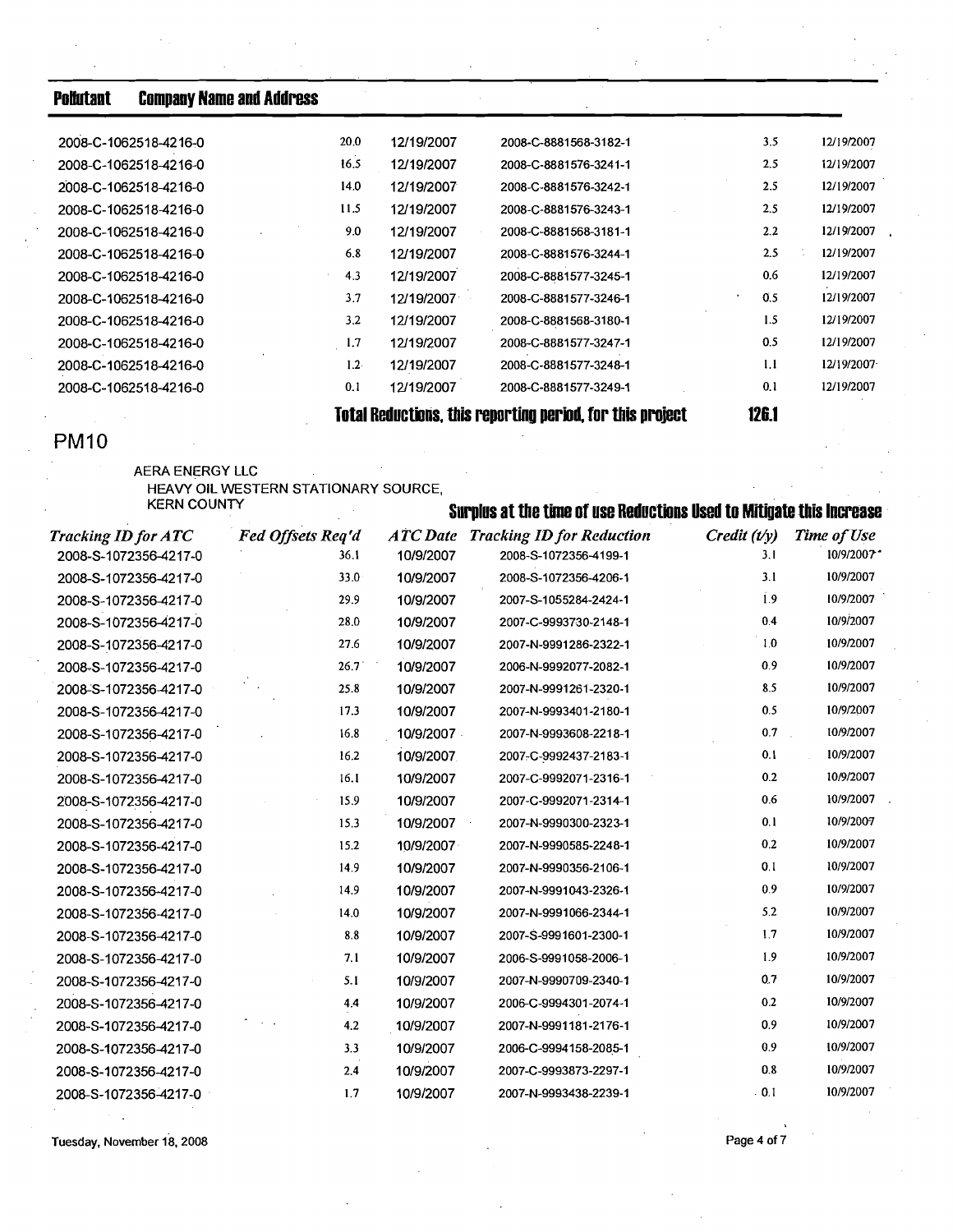| Pollutant | <b>Company Name and Address</b> |  |  |
|-----------|---------------------------------|--|--|
|           |                                 |  |  |

| 2008-C-1062518-4216-0 | 20.0             | 12/19/2007 | 2008-C-8881568-3182-1                                     | 3.5   | 12/19/2007 |
|-----------------------|------------------|------------|-----------------------------------------------------------|-------|------------|
| 2008-C-1062518-4216-0 | 16.5             | 12/19/2007 | 2008-C-8881576-3241-1                                     | 2.5   | 12/19/2007 |
| 2008-C-1062518-4216-0 | 14.0             | 12/19/2007 | 2008-C-8881576-3242-1                                     | 2.5   | 12/19/2007 |
| 2008-C-1062518-4216-0 | 11.5             | 12/19/2007 | 2008-C-8881576-3243-1                                     | 2.5   | 12/19/2007 |
| 2008-C-1062518-4216-0 | 9.0              | 12/19/2007 | 2008-C-8881568-3181-1                                     | 2.2   | 12/19/2007 |
| 2008-C-1062518-4216-0 | 6.8              | 12/19/2007 | 2008-C-8881576-3244-1                                     | 2.5   | 12/19/2007 |
| 2008-C-1062518-4216-0 | 4.3              | 12/19/2007 | 2008-C-8881577-3245-1                                     | 0.6   | 12/19/2007 |
| 2008-C-1062518-4216-0 | 3.7              | 12/19/2007 | 2008-C-8881577-3246-1                                     | 0.5   | 12/19/2007 |
| 2008-C-1062518-4216-0 | 3.2              | 12/19/2007 | 2008-C-8881568-3180-1                                     | 1.5   | 12/19/2007 |
| 2008-C-1062518-4216-0 | 1.7              | 12/19/2007 | 2008-C-8881577-3247-1                                     | 0.5   | 12/19/2007 |
| 2008-C-1062518-4216-0 | 1.2 <sub>1</sub> | 12/19/2007 | 2008-C-8881577-3248-1                                     | 1.1   | 12/19/2007 |
| 2008-C-1062518-4216-0 | 0.1              | 12/19/2007 | 2008-C-8881577-3249-1                                     | 0.1   | 12/19/2007 |
|                       |                  |            | Total Reductions, this reporting period, for this project | 126.1 |            |

# **PM10**

# **AERA ENERGY LLC**  HEAVY **OIL WESTERN STATIONARY SOURCE,**

| <b>KERN COUNTY</b>         |                   | Surplus at the time of use Reductions Used to Mitigate this Increase |                                           |              |             |  |  |  |
|----------------------------|-------------------|----------------------------------------------------------------------|-------------------------------------------|--------------|-------------|--|--|--|
| <b>Tracking ID for ATC</b> | Fed Offsets Req'd |                                                                      | <b>ATC Date Tracking ID for Reduction</b> | Credit (t/y) | Time of Use |  |  |  |
| 2008-S-1072356-4217-0      | 36.1              | 10/9/2007                                                            | 2008-S-1072356-4199-1                     | 3.1          | 10/9/2007*  |  |  |  |
| 2008-S-1072356-4217-0      | 33.0              | 10/9/2007                                                            | 2008-S-1072356-4206-1                     | 3.1          | 10/9/2007   |  |  |  |
| 2008-S-1072356-4217-0      | 29.9              | 10/9/2007                                                            | 2007-S-1055284-2424-1                     | 1.9          | 10/9/2007   |  |  |  |
| 2008-S-1072356-4217-0      | 28.0              | 10/9/2007                                                            | 2007-C-9993730-2148-1                     | 0.4          | 10/9/2007   |  |  |  |
| 2008-S-1072356-4217-0      | 27.6              | 10/9/2007                                                            | 2007-N-9991286-2322-1                     | 1.0          | 10/9/2007   |  |  |  |
| 2008-S-1072356-4217-0      | 26.7              | 10/9/2007                                                            | 2006-N-9992077-2082-1                     | 0.9          | 10/9/2007   |  |  |  |
| 2008-S-1072356-4217-0      | 25.8              | 10/9/2007                                                            | 2007-N-9991261-2320-1                     | 8.5          | 10/9/2007   |  |  |  |
| 2008-S-1072356-4217-0      | 17.3              | 10/9/2007                                                            | 2007-N-9993401-2180-1                     | 0.5          | 10/9/2007   |  |  |  |
| 2008-S-1072356-4217-0      | 16.8              | 10/9/2007                                                            | 2007-N-9993608-2218-1                     | 0.7          | 10/9/2007   |  |  |  |
| 2008-S-1072356-4217-0      | 16.2              | 10/9/2007                                                            | 2007-C-9992437-2183-1                     | 0.1          | 10/9/2007   |  |  |  |
| 2008-S-1072356-4217-0      | 16.1              | 10/9/2007                                                            | 2007-C-9992071-2316-1                     | 0.2          | 10/9/2007   |  |  |  |
| 2008-S-1072356-4217-0      | 15.9              | 10/9/2007                                                            | 2007-C-9992071-2314-1                     | 0.6          | 10/9/2007   |  |  |  |
| 2008-S-1072356-4217-0      | 15.3              | 10/9/2007                                                            | 2007-N-9990300-2323-1                     | 0.1          | 10/9/2007   |  |  |  |
| 2008-S-1072356-4217-0      | 15.2              | 10/9/2007                                                            | 2007-N-9990585-2248-1                     | 0.2          | 10/9/2007   |  |  |  |
| 2008-S-1072356-4217-0      | 14.9              | 10/9/2007                                                            | 2007-N-9990356-2106-1                     | 0.1          | 10/9/2007   |  |  |  |
| 2008-S-1072356-4217-0      | 14.9              | 10/9/2007                                                            | 2007-N-9991043-2326-1                     | 0.9          | 10/9/2007   |  |  |  |
| 2008-S-1072356-4217-0      | 14.0              | 10/9/2007                                                            | 2007-N-9991066-2344-1                     | 5.2          | 10/9/2007   |  |  |  |
| 2008-S-1072356-4217-0      | 8.8               | 10/9/2007                                                            | 2007-S-9991601-2300-1                     | 1.7          | 10/9/2007   |  |  |  |
| 2008-S-1072356-4217-0      | 7.1               | 10/9/2007                                                            | 2006-S-9991058-2006-1                     | 1.9          | 10/9/2007   |  |  |  |
| 2008-S-1072356-4217-0      | 5.1               | 10/9/2007                                                            | 2007-N-9990709-2340-1                     | 0.7          | 10/9/2007   |  |  |  |
| 2008-S-1072356-4217-0      | 4.4               | 10/9/2007                                                            | 2006-C-9994301-2074-1                     | 0.2          | 10/9/2007   |  |  |  |
| 2008-S-1072356-4217-0      | 4.2               | 10/9/2007                                                            | 2007-N-9991181-2176-1                     | 0.9          | 10/9/2007   |  |  |  |
| 2008-S-1072356-4217-0      | 3.3               | 10/9/2007                                                            | 2006-C-9994158-2085-1                     | 0.9          | 10/9/2007   |  |  |  |
| 2008-S-1072356-4217-0      | 2.4               | 10/9/2007                                                            | 2007-C-9993873-2297-1                     | 0.8          | 10/9/2007   |  |  |  |
| 2008-S-1072356-4217-0      | 1.7               | 10/9/2007                                                            | 2007-N-9993438-2239-1                     | . 0.1        | 10/9/2007   |  |  |  |
|                            |                   |                                                                      |                                           |              |             |  |  |  |

**Tuesday. November 18, 2008 Page 4 of 7 Page 4 of 7**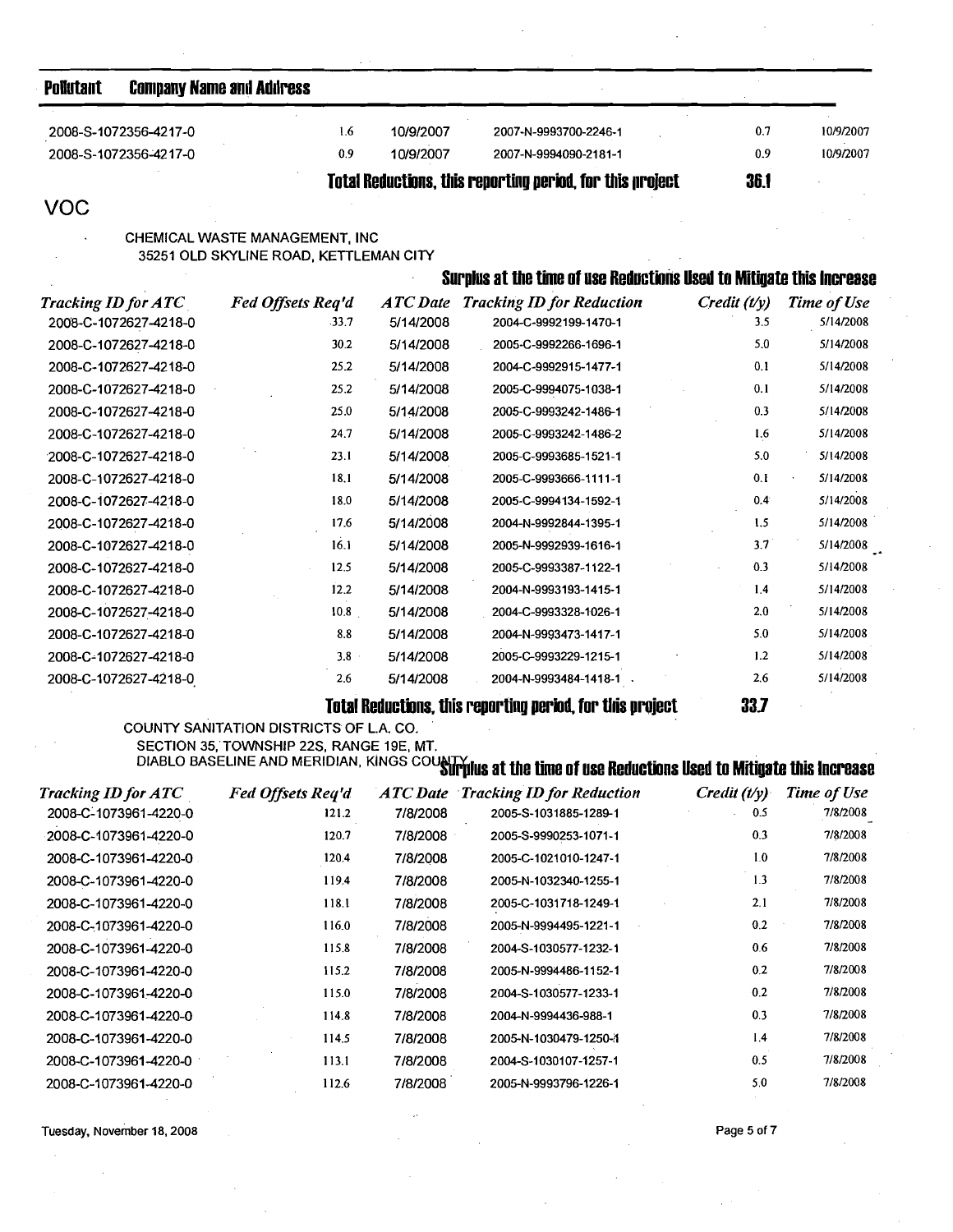| Pollutant                  |                                                | <b>Company Name and Address</b>                                                     |                              |                                                                                                             |                          |                          |
|----------------------------|------------------------------------------------|-------------------------------------------------------------------------------------|------------------------------|-------------------------------------------------------------------------------------------------------------|--------------------------|--------------------------|
|                            | 2008-S-1072356-4217-0                          | 1.6                                                                                 | 10/9/2007                    | 2007-N-9993700-2246-1                                                                                       | 0.7                      | 10/9/2007                |
|                            | 2008-S-1072356-4217-0                          | 0.9                                                                                 | 10/9/2007                    | 2007-N-9994090-2181-1                                                                                       | 0.9                      | 10/9/2007                |
|                            |                                                |                                                                                     |                              | Total Reductions, this reporting period, for this project                                                   | <b>36.1</b>              |                          |
| <b>VOC</b>                 |                                                |                                                                                     |                              |                                                                                                             |                          |                          |
|                            |                                                | CHEMICAL WASTE MANAGEMENT, INC<br>35251 OLD SKYLINE ROAD, KETTLEMAN CITY            |                              |                                                                                                             |                          |                          |
|                            |                                                |                                                                                     |                              | Surplus at the time of use Reductions Used to Mitigate this Increase                                        |                          |                          |
| <b>Tracking ID for ATC</b> |                                                | Fed Offsets Req'd<br>-33.7                                                          | <b>ATC</b> Date<br>5/14/2008 | <b>Tracking ID for Reduction</b><br>2004-C-9992199-1470-1                                                   | $C$ redit $(t/y)$<br>3.5 | Time of Use<br>5/14/2008 |
|                            | 2008-C-1072627-4218-0<br>2008-C-1072627-4218-0 | 30.2                                                                                | 5/14/2008                    | 2005-C-9992266-1696-1                                                                                       | 5.0                      | 5/14/2008                |
|                            | 2008-C-1072627-4218-0                          | 25.2                                                                                | 5/14/2008                    | 2004-C-9992915-1477-1                                                                                       | 0.1                      | 5/14/2008                |
|                            | 2008-C-1072627-4218-0                          | 25.2                                                                                | 5/14/2008                    | 2005-C-9994075-1038-1                                                                                       | 0.1                      | 5/14/2008                |
|                            | 2008-C-1072627-4218-0                          | 25.0                                                                                | 5/14/2008                    | 2005-C-9993242-1486-1                                                                                       | 0.3                      | 5/14/2008                |
|                            | 2008-C-1072627-4218-0                          | 24.7                                                                                | 5/14/2008                    | 2005-C-9993242-1486-2                                                                                       | 1.6                      | 5/14/2008                |
|                            | 2008-C-1072627-4218-0                          | 23.1                                                                                | 5/14/2008                    | 2005-C-9993685-1521-1                                                                                       | 5.0                      | 5/14/2008                |
|                            | 2008-C-1072627-4218-0                          | 18.1                                                                                | 5/14/2008                    | 2005-C-9993666-1111-1                                                                                       | 0.1                      | 5/14/2008                |
|                            | 2008-C-1072627-4218-0                          | 18.0                                                                                | 5/14/2008                    | 2005-C-9994134-1592-1                                                                                       | 0.4                      | 5/14/2008                |
|                            | 2008-C-1072627-4218-0                          | 17.6                                                                                | 5/14/2008                    | 2004-N-9992844-1395-1                                                                                       | 1.5                      | 5/14/2008                |
|                            | 2008-C-1072627-4218-0                          | 16.1                                                                                | 5/14/2008                    | 2005-N-9992939-1616-1                                                                                       | 3.7                      | 5/14/2008                |
|                            | 2008-C-1072627-4218-0                          | 12.5                                                                                | 5/14/2008                    | 2005-C-9993387-1122-1                                                                                       | 0.3                      | 5/14/2008                |
|                            | 2008-C-1072627-4218-0                          | 12.2                                                                                | 5/14/2008                    | 2004-N-9993193-1415-1                                                                                       | 1.4                      | 5/14/2008                |
|                            | 2008-C-1072627-4218-0                          | 10.8                                                                                | 5/14/2008                    | 2004-C-9993328-1026-1                                                                                       | 2.0                      | 5/14/2008                |
|                            | 2008-C-1072627-4218-0                          | 8.8                                                                                 | 5/14/2008                    | 2004-N-9993473-1417-1                                                                                       | 5.0                      | 5/14/2008                |
|                            | 2008-C-1072627-4218-0                          | $3.8 -$                                                                             | 5/14/2008                    | 2005-C-9993229-1215-1                                                                                       | 1.2                      | 5/14/2008                |
|                            | 2008-C-1072627-4218-0                          | 2.6                                                                                 | 5/14/2008                    | . 2004-N-9993484-1418-1                                                                                     | 2.6                      | 5/14/2008                |
|                            |                                                |                                                                                     |                              | Total Reductions, this reporting period, for this project                                                   | 33.7                     |                          |
|                            |                                                | COUNTY SANITATION DISTRICTS OF L.A. CO.<br>SECTION 35, TOWNSHIP 22S, RANGE 19E, MT. |                              | DIABLO BASELINE AND MERIDIAN, KINGS COUNTY IUS at the time of use Reductions Used to Mitigate this increase |                          |                          |
| <b>Tracking ID for ATC</b> |                                                | Fed Offsets Req'd                                                                   |                              | <b>ATC Date Tracking ID for Reduction</b>                                                                   | $C$ redit $(t/y)$        | Time of Use              |
|                            | 2008-C-1073961-4220-0                          | 121.2                                                                               | 7/8/2008                     | 2005-S-1031885-1289-1                                                                                       | 0.5                      | 7/8/2008                 |
|                            | 2008-C-1073961-4220-0                          | 120.7                                                                               | 7/8/2008                     | 2005-S-9990253-1071-1                                                                                       | 0.3                      | 7/8/2008                 |
|                            | 2008-C-1073961-4220-0                          | 120.4                                                                               | 7/8/2008                     | 2005-C-1021010-1247-1                                                                                       | 1.0                      | 7/8/2008                 |
|                            | 2008-C-1073961-4220-0                          | 119.4                                                                               | 7/8/2008                     | 2005-N-1032340-1255-1                                                                                       | 1.3                      | 7/8/2008                 |
|                            | 2008-C-1073961-4220-0                          | 118.1                                                                               | 7/8/2008                     | 2005-C-1031718-1249-1                                                                                       | 2.1                      | 7/8/2008                 |
|                            | 2008-C-1073961-4220-0                          | 116.0                                                                               | 7/8/2008                     | 2005-N-9994495-1221-1                                                                                       | 0.2                      | 7/8/2008                 |
|                            | 2008-C-1073961-4220-0                          | 115.8                                                                               | 7/8/2008                     | 2004-S-1030577-1232-1                                                                                       | 0.6                      | 7/8/2008                 |

115.2

115.0

114.8

114.5

113.1

112.6

7/8/2008

7/8/2008

7/8/2008

7/8/2008

7/8/2008

7/8/2008

2005-N-9994486-1152-1

2004-S-1030577-1233-1

2004-N-9994436-988-1

2005-N-1030479-1250-1

2004-S-1030107-1257-1

2005-N-9993796-1226-1

Tuesday, November 18, 2008

2008-C-1073961-4220-0

2008-C-1073961-4220-0

2008-C-1073961-4220-0

2008-C-1073961-4220-0

2008-C-1073961-4220-0

2008-C-1073961-4220-0

Page 5 of 7

 $0.2$ 

 $0.2\,$ 

 $0.3$  $1.4$ 

 $0.5$ 

 $5.0\,$ 

7/8/2008

7/8/2008

7/8/2008

7/8/2008

7/8/2008

7/8/2008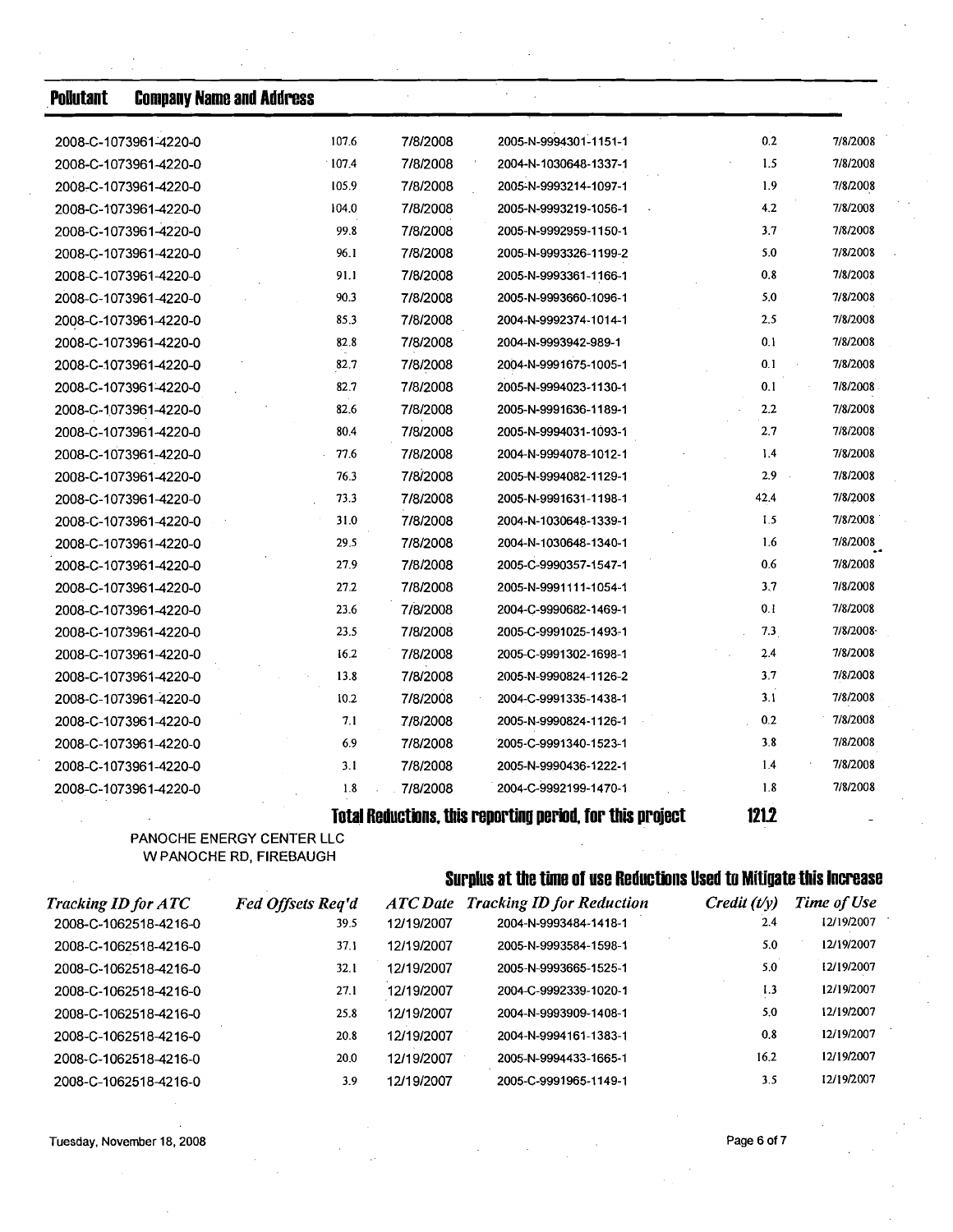| <b>Pollutant</b> | <b>Company Name and Address</b> |       |          |                                                           |               |          |
|------------------|---------------------------------|-------|----------|-----------------------------------------------------------|---------------|----------|
|                  | 2008-C-1073961-4220-0           | 107.6 | 7/8/2008 | 2005-N-9994301-1151-1                                     | 0.2           | 7/8/2008 |
|                  | 2008-C-1073961-4220-0           | 107.4 | 7/8/2008 | 2004-N-1030648-1337-1                                     | 1.5           | 7/8/2008 |
|                  | 2008-C-1073961-4220-0           | 105.9 | 7/8/2008 | 2005-N-9993214-1097-1                                     | 1.9           | 7/8/2008 |
|                  | 2008-C-1073961-4220-0           | 104.0 | 7/8/2008 | 2005-N-9993219-1056-1                                     | 4.2           | 7/8/2008 |
|                  | 2008-C-1073961-4220-0           | 99.8  | 7/8/2008 | 2005-N-9992959-1150-1                                     | 3.7           | 7/8/2008 |
|                  | 2008-C-1073961-4220-0           | 96.1  | 7/8/2008 | 2005-N-9993326-1199-2                                     | 5.0           | 7/8/2008 |
|                  | 2008-C-1073961-4220-0           | 91.1  | 7/8/2008 | 2005-N-9993361-1166-1                                     | 0.8           | 7/8/2008 |
|                  | 2008-C-1073961-4220-0           | 90.3  | 7/8/2008 | 2005-N-9993660-1096-1                                     | 5.0           | 7/8/2008 |
|                  | 2008-C-1073961-4220-0           | 85.3  | 7/8/2008 | 2004-N-9992374-1014-1                                     | 2.5           | 7/8/2008 |
|                  | 2008-C-1073961-4220-0           | 82.8  | 7/8/2008 | 2004-N-9993942-989-1                                      | 0.1           | 7/8/2008 |
|                  | 2008-C-1073961-4220-0           | 82.7  | 7/8/2008 | 2004-N-9991675-1005-1                                     | 0.1           | 7/8/2008 |
|                  | 2008-C-1073961-4220-0           | 82.7  | 7/8/2008 | 2005-N-9994023-1130-1                                     | 0.1           | 7/8/2008 |
|                  | 2008-C-1073961-4220-0           | 82.6  | 7/8/2008 | 2005-N-9991636-1189-1                                     | 2.2           | 7/8/2008 |
|                  | 2008-C-1073961-4220-0           | 80.4  | 7/8/2008 | 2005-N-9994031-1093-1                                     | 2.7           | 7/8/2008 |
|                  | 2008-C-1073961-4220-0           | 77.6  | 7/8/2008 | 2004-N-9994078-1012-1                                     | 1.4           | 7/8/2008 |
|                  | 2008-C-1073961-4220-0           | 76.3  | 7/8/2008 | 2005-N-9994082-1129-1                                     | 2.9<br>$\sim$ | 7/8/2008 |
|                  | 2008-C-1073961-4220-0           | 73.3  | 7/8/2008 | 2005-N-9991631-1198-1                                     | 42.4          | 7/8/2008 |
|                  | 2008-C-1073961-4220-0           | 31.0  | 7/8/2008 | 2004-N-1030648-1339-1                                     | 1.5           | 7/8/2008 |
|                  | 2008-C-1073961-4220-0           | 29.5  | 7/8/2008 | 2004-N-1030648-1340-1                                     | 1.6           | 7/8/2008 |
|                  | 2008-C-1073961-4220-0           | 27.9  | 7/8/2008 | 2005-C-9990357-1547-1                                     | 0.6           | 7/8/2008 |
|                  | 2008-C-1073961-4220-0           | 27.2  | 7/8/2008 | 2005-N-9991111-1054-1                                     | 3.7           | 7/8/2008 |
|                  | 2008-C-1073961-4220-0           | 23.6  | 7/8/2008 | 2004-C-9990682-1469-1                                     | 0.1           | 7/8/2008 |
|                  | 2008-C-1073961-4220-0           | 23.5  | 7/8/2008 | 2005-C-9991025-1493-1                                     | 7.3           | 7/8/2008 |
|                  | 2008-C-1073961-4220-0           | 16.2  | 7/8/2008 | 2005-C-9991302-1698-1                                     | 2.4           | 7/8/2008 |
|                  | 2008-C-1073961-4220-0           | 13.8  | 7/8/2008 | 2005-N-9990824-1126-2                                     | 3.7           | 7/8/2008 |
|                  | 2008-C-1073961-4220-0           | 10.2  | 7/8/2008 | 2004-C-9991335-1438-1                                     | 3.1           | 7/8/2008 |
|                  | 2008-C-1073961-4220-0           | 7.1   | 7/8/2008 | 2005-N-9990824-1126-1                                     | 0.2           | 7/8/2008 |
|                  | 2008-C-1073961-4220-0           | 6.9   | 7/8/2008 | 2005-C-9991340-1523-1                                     | 3.8           | 7/8/2008 |
|                  | 2008-C-1073961-4220-0           | 3.1   | 7/8/2008 | 2005-N-9990436-1222-1                                     | 1.4           | 7/8/2008 |
|                  | 2008-C-1073961-4220-0           | 1.8   | 7/8/2008 | 2004-C-9992199-1470-1                                     | 1.8           | 7/8/2008 |
|                  |                                 |       |          | Total Reductions, this reporting period, for this project | 121.2         |          |

PANOCHE ENERGY CENTER LLC W PANOCHE RD, FIREBAUGH

# **Surplus at the time of use Reductions Used to Mitigate this Increase**

| <b>Tracking ID for ATC</b> | <b>Fed Offsets Req'd</b> | ATC Date   | <b>Tracking ID for Reduction</b> | $C$ redit $(t/v)$ | <b>Time of Use</b> |
|----------------------------|--------------------------|------------|----------------------------------|-------------------|--------------------|
| 2008-C-1062518-4216-0      | 39.5                     | 12/19/2007 | 2004-N-9993484-1418-1            | 2.4               | 12/19/2007         |
| 2008-C-1062518-4216-0      | 37.1                     | 12/19/2007 | 2005-N-9993584-1598-1            | 5.0               | 12/19/2007         |
| 2008-C-1062518-4216-0      | 32.1                     | 12/19/2007 | 2005-N-9993665-1525-1            | 5.0               | 12/19/2007         |
| 2008-C-1062518-4216-0      | 27.1                     | 12/19/2007 | 2004-C-9992339-1020-1            | 1.3               | 12/19/2007         |
| 2008-C-1062518-4216-0      | 25.8                     | 12/19/2007 | 2004-N-9993909-1408-1            | 5.0               | 12/19/2007         |
| 2008-C-1062518-4216-0      | 20.8                     | 12/19/2007 | 2004-N-9994161-1383-1            | 0.8               | 12/19/2007         |
| 2008-C-1062518-4216-0      | 20.0                     | 12/19/2007 | 2005-N-9994433-1665-1            | 16.2              | 12/19/2007         |
| 2008-C-1062518-4216-0      | 3.9                      | 12/19/2007 | 2005-C-9991965-1149-1            | 3.5               | 12/19/2007         |